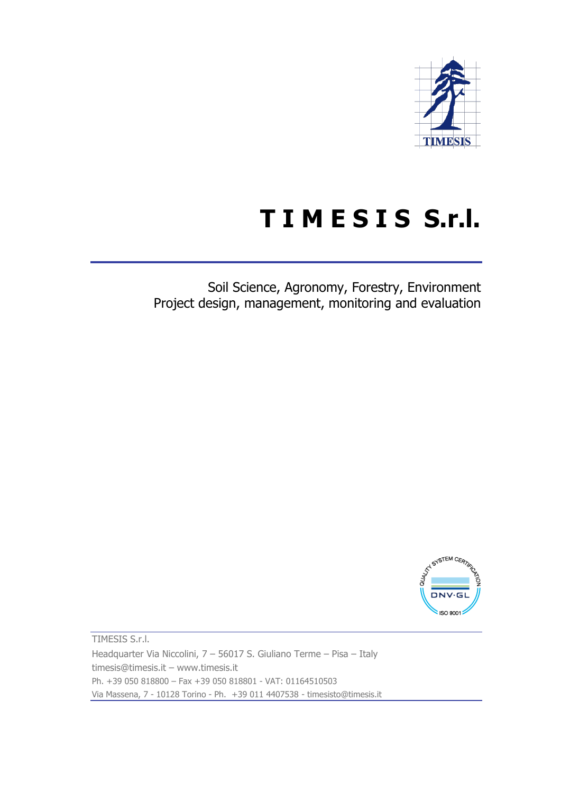

## **T I M E S I S S.r.l.**

Soil Science, Agronomy, Forestry, Environment Project design, management, monitoring and evaluation



TIMESIS S.r.l. Headquarter Via Niccolini, 7 – 56017 S. Giuliano Terme – Pisa – Italy timesis@timesis.it – www.timesis.it Ph. +39 050 818800 – Fax +39 050 818801 - VAT: 01164510503 Via Massena, 7 - 10128 Torino - Ph. +39 011 4407538 - timesisto@timesis.it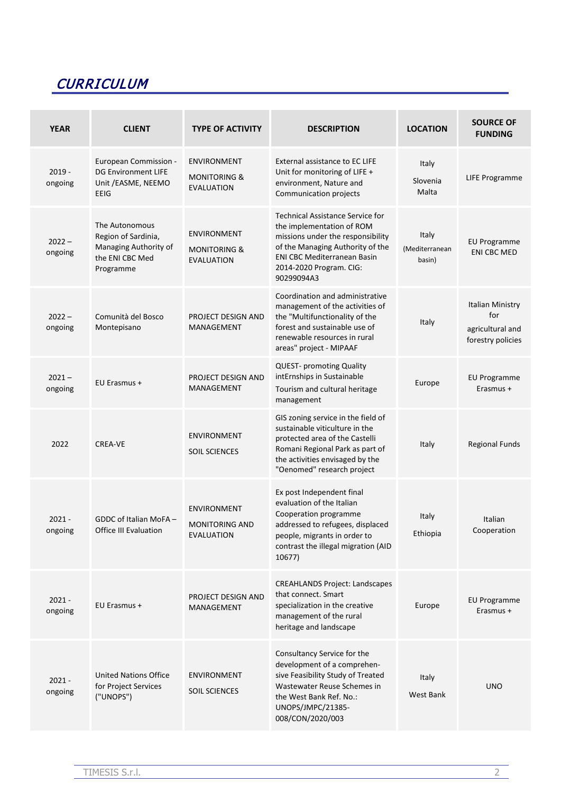## **CURRICULUM**

| <b>YEAR</b>         | <b>CLIENT</b>                                                                                  | <b>TYPE OF ACTIVITY</b>                                            | <b>DESCRIPTION</b>                                                                                                                                                                                                           | <b>LOCATION</b>                   | <b>SOURCE OF</b><br><b>FUNDING</b>                               |
|---------------------|------------------------------------------------------------------------------------------------|--------------------------------------------------------------------|------------------------------------------------------------------------------------------------------------------------------------------------------------------------------------------------------------------------------|-----------------------------------|------------------------------------------------------------------|
| $2019 -$<br>ongoing | European Commission -<br><b>DG Environment LIFE</b><br>Unit / EASME, NEEMO<br>EEIG             | <b>ENVIRONMENT</b><br><b>MONITORING &amp;</b><br><b>EVALUATION</b> | External assistance to EC LIFE<br>Unit for monitoring of LIFE +<br>environment, Nature and<br>Communication projects                                                                                                         | Italy<br>Slovenia<br>Malta        | LIFE Programme                                                   |
| $2022 -$<br>ongoing | The Autonomous<br>Region of Sardinia,<br>Managing Authority of<br>the ENI CBC Med<br>Programme | <b>ENVIRONMENT</b><br><b>MONITORING &amp;</b><br><b>EVALUATION</b> | <b>Technical Assistance Service for</b><br>the implementation of ROM<br>missions under the responsibility<br>of the Managing Authority of the<br><b>ENI CBC Mediterranean Basin</b><br>2014-2020 Program. CIG:<br>90299094A3 | Italy<br>(Mediterranean<br>basin) | <b>EU Programme</b><br><b>ENI CBC MED</b>                        |
| $2022 -$<br>ongoing | Comunità del Bosco<br>Montepisano                                                              | PROJECT DESIGN AND<br>MANAGEMENT                                   | Coordination and administrative<br>management of the activities of<br>the "Multifunctionality of the<br>forest and sustainable use of<br>renewable resources in rural<br>areas" project - MIPAAF                             | Italy                             | Italian Ministry<br>for<br>agricultural and<br>forestry policies |
| $2021 -$<br>ongoing | EU Erasmus +                                                                                   | PROJECT DESIGN AND<br>MANAGEMENT                                   | <b>QUEST-</b> promoting Quality<br>intErnships in Sustainable<br>Tourism and cultural heritage<br>management                                                                                                                 | Europe                            | <b>EU Programme</b><br>Erasmus +                                 |
| 2022                | <b>CREA-VE</b>                                                                                 | <b>ENVIRONMENT</b><br><b>SOIL SCIENCES</b>                         | GIS zoning service in the field of<br>sustainable viticulture in the<br>protected area of the Castelli<br>Romani Regional Park as part of<br>the activities envisaged by the<br>"Oenomed" research project                   | Italy                             | <b>Regional Funds</b>                                            |
| $2021 -$<br>ongoing | GDDC of Italian MoFA-<br>Office III Evaluation                                                 | <b>ENVIRONMENT</b><br><b>MONITORING AND</b><br>EVALUATION          | Ex post Independent final<br>evaluation of the Italian<br>Cooperation programme<br>addressed to refugees, displaced<br>people, migrants in order to<br>contrast the illegal migration (AID<br>10677)                         | Italy<br>Ethiopia                 | Italian<br>Cooperation                                           |
| $2021 -$<br>ongoing | EU Erasmus +                                                                                   | PROJECT DESIGN AND<br>MANAGEMENT                                   | <b>CREAHLANDS Project: Landscapes</b><br>that connect. Smart<br>specialization in the creative<br>management of the rural<br>heritage and landscape                                                                          | Europe                            | <b>EU Programme</b><br>Erasmus +                                 |
| $2021 -$<br>ongoing | <b>United Nations Office</b><br>for Project Services<br>("UNOPS")                              | <b>ENVIRONMENT</b><br><b>SOIL SCIENCES</b>                         | Consultancy Service for the<br>development of a comprehen-<br>sive Feasibility Study of Treated<br>Wastewater Reuse Schemes in<br>the West Bank Ref. No.:<br>UNOPS/JMPC/21385-<br>008/CON/2020/003                           | Italy<br>West Bank                | <b>UNO</b>                                                       |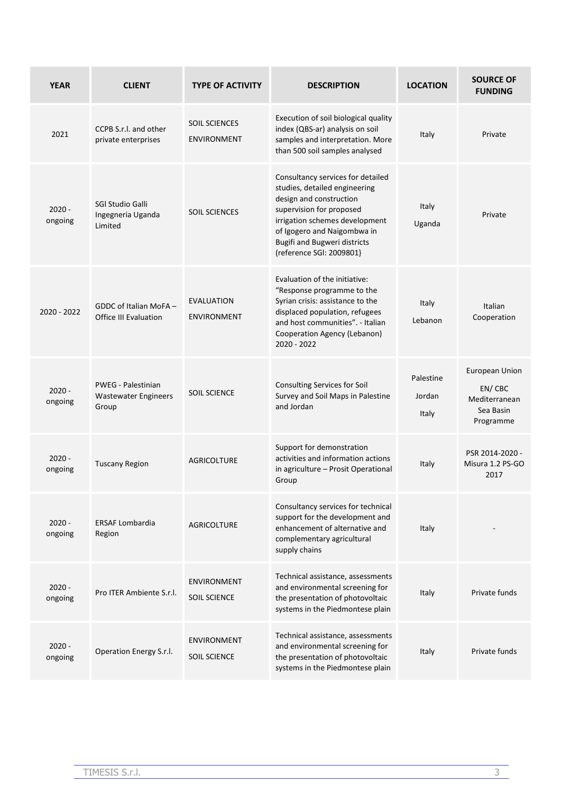| <b>YEAR</b>         | <b>CLIENT</b>                                                     | <b>TYPE OF ACTIVITY</b>                    | <b>DESCRIPTION</b>                                                                                                                                                                                                                                            | <b>LOCATION</b>              | <b>SOURCE OF</b><br><b>FUNDING</b>                                         |
|---------------------|-------------------------------------------------------------------|--------------------------------------------|---------------------------------------------------------------------------------------------------------------------------------------------------------------------------------------------------------------------------------------------------------------|------------------------------|----------------------------------------------------------------------------|
| 2021                | CCPB S.r.I. and other<br>private enterprises                      | <b>SOIL SCIENCES</b><br><b>ENVIRONMENT</b> | Execution of soil biological quality<br>index (QBS-ar) analysis on soil<br>samples and interpretation. More<br>than 500 soil samples analysed                                                                                                                 | Italy                        | Private                                                                    |
| $2020 -$<br>ongoing | SGI Studio Galli<br>Ingegneria Uganda<br>Limited                  | <b>SOIL SCIENCES</b>                       | Consultancy services for detailed<br>studies, detailed engineering<br>design and construction<br>supervision for proposed<br>irrigation schemes development<br>of Igogero and Naigombwa in<br><b>Bugifi and Bugweri districts</b><br>(reference SGI: 2009801) | Italy<br>Uganda              | Private                                                                    |
| $2020 - 2022$       | GDDC of Italian MoFA-<br><b>Office III Evaluation</b>             | EVALUATION<br><b>ENVIRONMENT</b>           | Evaluation of the initiative:<br>"Response programme to the<br>Syrian crisis: assistance to the<br>displaced population, refugees<br>and host communities". - Italian<br>Cooperation Agency (Lebanon)<br>2020 - 2022                                          | Italy<br>Lebanon             | Italian<br>Cooperation                                                     |
| $2020 -$<br>ongoing | <b>PWEG - Palestinian</b><br><b>Wastewater Engineers</b><br>Group | <b>SOIL SCIENCE</b>                        | Consulting Services for Soil<br>Survey and Soil Maps in Palestine<br>and Jordan                                                                                                                                                                               | Palestine<br>Jordan<br>Italy | <b>European Union</b><br>EN/CBC<br>Mediterranean<br>Sea Basin<br>Programme |
| $2020 -$<br>ongoing | <b>Tuscany Region</b>                                             | <b>AGRICOLTURE</b>                         | Support for demonstration<br>activities and information actions<br>in agriculture - Prosit Operational<br>Group                                                                                                                                               | Italy                        | PSR 2014-2020 -<br>Misura 1.2 PS-GO<br>2017                                |
| $2020 -$<br>ongoing | <b>ERSAF Lombardia</b><br>Region                                  | <b>AGRICOLTURE</b>                         | Consultancy services for technical<br>support for the development and<br>enhancement of alternative and<br>complementary agricultural<br>supply chains                                                                                                        | Italy                        |                                                                            |
| $2020 -$<br>ongoing | Pro ITER Ambiente S.r.l.                                          | <b>ENVIRONMENT</b><br><b>SOIL SCIENCE</b>  | Technical assistance, assessments<br>and environmental screening for<br>the presentation of photovoltaic<br>systems in the Piedmontese plain                                                                                                                  | Italy                        | Private funds                                                              |
| $2020 -$<br>ongoing | Operation Energy S.r.l.                                           | <b>ENVIRONMENT</b><br><b>SOIL SCIENCE</b>  | Technical assistance, assessments<br>and environmental screening for<br>the presentation of photovoltaic<br>systems in the Piedmontese plain                                                                                                                  | Italy                        | Private funds                                                              |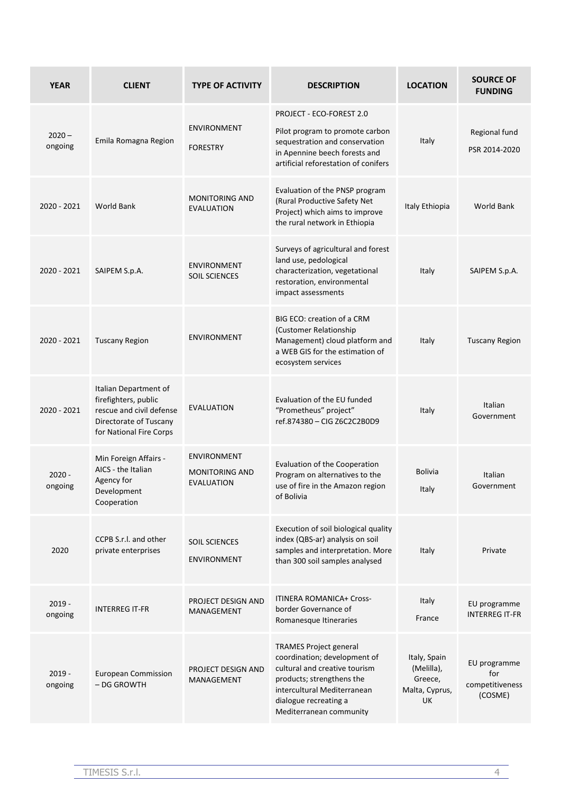| <b>YEAR</b>         | <b>CLIENT</b>                                                                                                                  | <b>TYPE OF ACTIVITY</b>                                          | <b>DESCRIPTION</b>                                                                                                                                                                                             | <b>LOCATION</b>                                               | <b>SOURCE OF</b><br><b>FUNDING</b>                |
|---------------------|--------------------------------------------------------------------------------------------------------------------------------|------------------------------------------------------------------|----------------------------------------------------------------------------------------------------------------------------------------------------------------------------------------------------------------|---------------------------------------------------------------|---------------------------------------------------|
| $2020 -$<br>ongoing | Emila Romagna Region                                                                                                           | <b>ENVIRONMENT</b><br><b>FORESTRY</b>                            | PROJECT - ECO-FOREST 2.0<br>Pilot program to promote carbon<br>sequestration and conservation<br>in Apennine beech forests and<br>artificial reforestation of conifers                                         | Italy                                                         | Regional fund<br>PSR 2014-2020                    |
| $2020 - 2021$       | <b>World Bank</b>                                                                                                              | <b>MONITORING AND</b><br><b>EVALUATION</b>                       | Evaluation of the PNSP program<br>(Rural Productive Safety Net<br>Project) which aims to improve<br>the rural network in Ethiopia                                                                              | Italy Ethiopia                                                | <b>World Bank</b>                                 |
| 2020 - 2021         | SAIPEM S.p.A.                                                                                                                  | <b>ENVIRONMENT</b><br><b>SOIL SCIENCES</b>                       | Surveys of agricultural and forest<br>land use, pedological<br>characterization, vegetational<br>restoration, environmental<br>impact assessments                                                              | Italy                                                         | SAIPEM S.p.A.                                     |
| 2020 - 2021         | <b>Tuscany Region</b>                                                                                                          | <b>ENVIRONMENT</b>                                               | BIG ECO: creation of a CRM<br>(Customer Relationship<br>Management) cloud platform and<br>a WEB GIS for the estimation of<br>ecosystem services                                                                | Italy                                                         | <b>Tuscany Region</b>                             |
| 2020 - 2021         | Italian Department of<br>firefighters, public<br>rescue and civil defense<br>Directorate of Tuscany<br>for National Fire Corps | EVALUATION                                                       | Evaluation of the EU funded<br>"Prometheus" project"<br>ref.874380 - CIG Z6C2C2B0D9                                                                                                                            | Italy                                                         | Italian<br>Government                             |
| $2020 -$<br>ongoing | Min Foreign Affairs -<br>AICS - the Italian<br>Agency for<br>Development<br>Cooperation                                        | <b>ENVIRONMENT</b><br><b>MONITORING AND</b><br><b>EVALUATION</b> | Evaluation of the Cooperation<br>Program on alternatives to the<br>use of fire in the Amazon region<br>of Bolivia                                                                                              | <b>Bolivia</b><br>Italy                                       | Italian<br>Government                             |
| 2020                | CCPB S.r.I. and other<br>private enterprises                                                                                   | <b>SOIL SCIENCES</b><br><b>ENVIRONMENT</b>                       | Execution of soil biological quality<br>index (QBS-ar) analysis on soil<br>samples and interpretation. More<br>than 300 soil samples analysed                                                                  | Italy                                                         | Private                                           |
| $2019 -$<br>ongoing | <b>INTERREG IT-FR</b>                                                                                                          | PROJECT DESIGN AND<br>MANAGEMENT                                 | <b>ITINERA ROMANICA+ Cross-</b><br>border Governance of<br>Romanesque Itineraries                                                                                                                              | Italy<br>France                                               | EU programme<br><b>INTERREG IT-FR</b>             |
| $2019 -$<br>ongoing | <b>European Commission</b><br>- DG GROWTH                                                                                      | PROJECT DESIGN AND<br>MANAGEMENT                                 | <b>TRAMES Project general</b><br>coordination; development of<br>cultural and creative tourism<br>products; strengthens the<br>intercultural Mediterranean<br>dialogue recreating a<br>Mediterranean community | Italy, Spain<br>(Melilla),<br>Greece,<br>Malta, Cyprus,<br>UK | EU programme<br>for<br>competitiveness<br>(COSME) |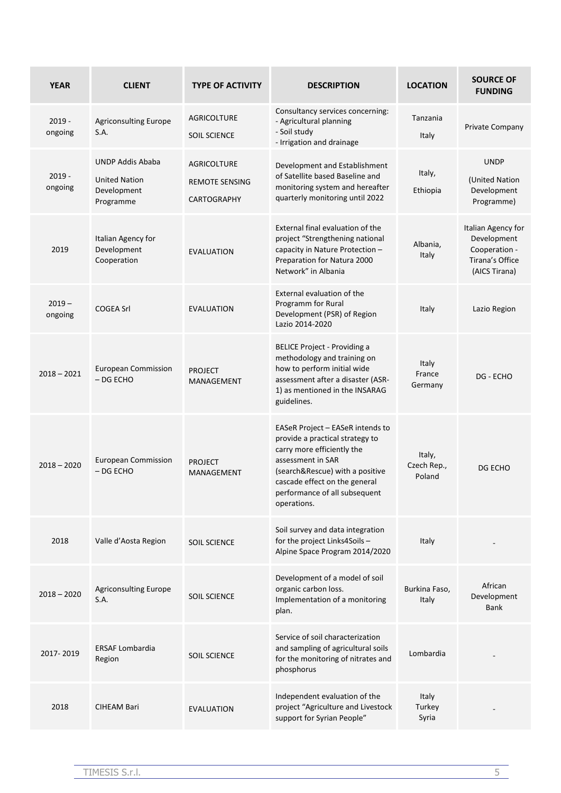| <b>YEAR</b>         | <b>CLIENT</b>                                                               | <b>TYPE OF ACTIVITY</b>                                           | <b>DESCRIPTION</b>                                                                                                                                                                                                                         | <b>LOCATION</b>                   | <b>SOURCE OF</b><br><b>FUNDING</b>                                                     |
|---------------------|-----------------------------------------------------------------------------|-------------------------------------------------------------------|--------------------------------------------------------------------------------------------------------------------------------------------------------------------------------------------------------------------------------------------|-----------------------------------|----------------------------------------------------------------------------------------|
| $2019 -$<br>ongoing | <b>Agriconsulting Europe</b><br>S.A.                                        | AGRICOLTURE<br><b>SOIL SCIENCE</b>                                | Consultancy services concerning:<br>- Agricultural planning<br>- Soil study<br>- Irrigation and drainage                                                                                                                                   | Tanzania<br>Italy                 | Private Company                                                                        |
| $2019 -$<br>ongoing | <b>UNDP Addis Ababa</b><br><b>United Nation</b><br>Development<br>Programme | <b>AGRICOLTURE</b><br><b>REMOTE SENSING</b><br><b>CARTOGRAPHY</b> | Development and Establishment<br>of Satellite based Baseline and<br>monitoring system and hereafter<br>quarterly monitoring until 2022                                                                                                     | Italy,<br>Ethiopia                | <b>UNDP</b><br>(United Nation<br>Development<br>Programme)                             |
| 2019                | Italian Agency for<br>Development<br>Cooperation                            | <b>EVALUATION</b>                                                 | External final evaluation of the<br>project "Strengthening national<br>capacity in Nature Protection -<br>Preparation for Natura 2000<br>Network" in Albania                                                                               | Albania,<br>Italy                 | Italian Agency for<br>Development<br>Cooperation -<br>Tirana's Office<br>(AICS Tirana) |
| $2019 -$<br>ongoing | <b>COGEA Srl</b>                                                            | <b>EVALUATION</b>                                                 | External evaluation of the<br>Programm for Rural<br>Development (PSR) of Region<br>Lazio 2014-2020                                                                                                                                         | Italy                             | Lazio Region                                                                           |
| $2018 - 2021$       | <b>European Commission</b><br>$-$ DG ECHO                                   | <b>PROJECT</b><br><b>MANAGEMENT</b>                               | <b>BELICE Project - Providing a</b><br>methodology and training on<br>how to perform initial wide<br>assessment after a disaster (ASR-<br>1) as mentioned in the INSARAG<br>guidelines.                                                    | <b>Italy</b><br>France<br>Germany | DG - ECHO                                                                              |
| $2018 - 2020$       | <b>European Commission</b><br>- DG ECHO                                     | <b>PROJECT</b><br><b>MANAGEMENT</b>                               | EASeR Project - EASeR intends to<br>provide a practical strategy to<br>carry more efficiently the<br>assessment in SAR<br>(search&Rescue) with a positive<br>cascade effect on the general<br>performance of all subsequent<br>operations. | Italy,<br>Czech Rep.,<br>Poland   | DG ECHO                                                                                |
| 2018                | Valle d'Aosta Region                                                        | <b>SOIL SCIENCE</b>                                               | Soil survey and data integration<br>for the project Links4Soils -<br>Alpine Space Program 2014/2020                                                                                                                                        | Italy                             |                                                                                        |
| $2018 - 2020$       | <b>Agriconsulting Europe</b><br>S.A.                                        | <b>SOIL SCIENCE</b>                                               | Development of a model of soil<br>organic carbon loss.<br>Implementation of a monitoring<br>plan.                                                                                                                                          | Burkina Faso,<br>Italy            | African<br>Development<br>Bank                                                         |
| 2017-2019           | <b>ERSAF Lombardia</b><br>Region                                            | <b>SOIL SCIENCE</b>                                               | Service of soil characterization<br>and sampling of agricultural soils<br>for the monitoring of nitrates and<br>phosphorus                                                                                                                 | Lombardia                         |                                                                                        |
| 2018                | <b>CIHEAM Bari</b>                                                          | <b>EVALUATION</b>                                                 | Independent evaluation of the<br>project "Agriculture and Livestock<br>support for Syrian People"                                                                                                                                          | Italy<br>Turkey<br>Syria          |                                                                                        |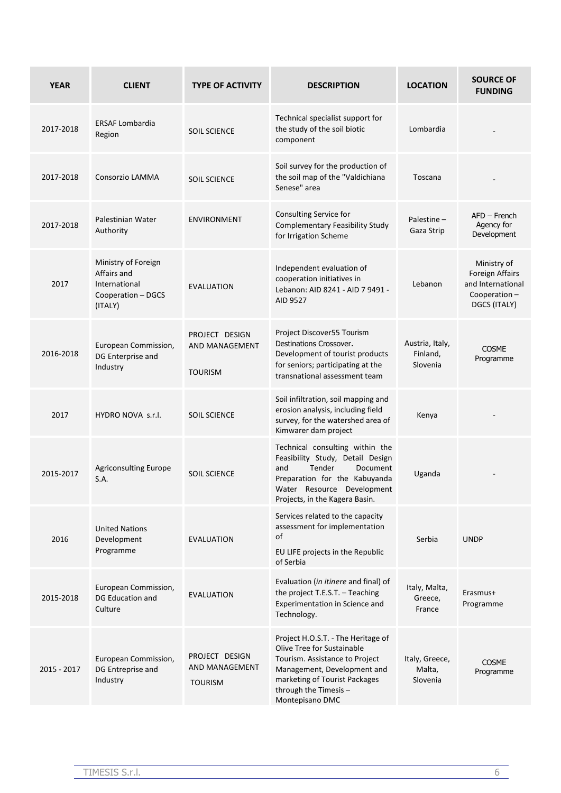| <b>YEAR</b> | <b>CLIENT</b>                                                                        | <b>TYPE OF ACTIVITY</b>                            | <b>DESCRIPTION</b>                                                                                                                                                                                            | <b>LOCATION</b>                         | <b>SOURCE OF</b><br><b>FUNDING</b>                                                  |
|-------------|--------------------------------------------------------------------------------------|----------------------------------------------------|---------------------------------------------------------------------------------------------------------------------------------------------------------------------------------------------------------------|-----------------------------------------|-------------------------------------------------------------------------------------|
| 2017-2018   | <b>ERSAF Lombardia</b><br>Region                                                     | <b>SOIL SCIENCE</b>                                | Technical specialist support for<br>the study of the soil biotic<br>component                                                                                                                                 | Lombardia                               |                                                                                     |
| 2017-2018   | Consorzio LAMMA                                                                      | <b>SOIL SCIENCE</b>                                | Soil survey for the production of<br>the soil map of the "Valdichiana<br>Senese" area                                                                                                                         | Toscana                                 |                                                                                     |
| 2017-2018   | Palestinian Water<br>Authority                                                       | <b>ENVIRONMENT</b>                                 | Consulting Service for<br><b>Complementary Feasibility Study</b><br>for Irrigation Scheme                                                                                                                     | Palestine-<br>Gaza Strip                | $AFD - French$<br>Agency for<br>Development                                         |
| 2017        | Ministry of Foreign<br>Affairs and<br>International<br>Cooperation - DGCS<br>(ITALY) | <b>EVALUATION</b>                                  | Independent evaluation of<br>cooperation initiatives in<br>Lebanon: AID 8241 - AID 7 9491 -<br>AID 9527                                                                                                       | Lebanon                                 | Ministry of<br>Foreign Affairs<br>and International<br>Cooperation-<br>DGCS (ITALY) |
| 2016-2018   | European Commission,<br>DG Enterprise and<br>Industry                                | PROJECT DESIGN<br>AND MANAGEMENT<br><b>TOURISM</b> | Project Discover55 Tourism<br>Destinations Crossover.<br>Development of tourist products<br>for seniors; participating at the<br>transnational assessment team                                                | Austria, Italy,<br>Finland,<br>Slovenia | <b>COSME</b><br>Programme                                                           |
| 2017        | HYDRO NOVA s.r.l.                                                                    | <b>SOIL SCIENCE</b>                                | Soil infiltration, soil mapping and<br>erosion analysis, including field<br>survey, for the watershed area of<br>Kimwarer dam project                                                                         | Kenya                                   |                                                                                     |
| 2015-2017   | Agriconsulting Europe<br>S.A.                                                        | <b>SOIL SCIENCE</b>                                | Technical consulting within the<br>Feasibility Study, Detail Design<br>Tender<br>Document<br>and<br>Preparation for the Kabuyanda<br>Water Resource Development<br>Projects, in the Kagera Basin.             | Uganda                                  |                                                                                     |
| 2016        | <b>United Nations</b><br>Development<br>Programme                                    | <b>EVALUATION</b>                                  | Services related to the capacity<br>assessment for implementation<br>of<br>EU LIFE projects in the Republic<br>of Serbia                                                                                      | Serbia                                  | <b>UNDP</b>                                                                         |
| 2015-2018   | European Commission,<br>DG Education and<br>Culture                                  | <b>EVALUATION</b>                                  | Evaluation (in itinere and final) of<br>the project T.E.S.T. - Teaching<br>Experimentation in Science and<br>Technology.                                                                                      | Italy, Malta,<br>Greece,<br>France      | Erasmus+<br>Programme                                                               |
| 2015 - 2017 | European Commission,<br>DG Entreprise and<br>Industry                                | PROJECT DESIGN<br>AND MANAGEMENT<br><b>TOURISM</b> | Project H.O.S.T. - The Heritage of<br>Olive Tree for Sustainable<br>Tourism. Assistance to Project<br>Management, Development and<br>marketing of Tourist Packages<br>through the Timesis-<br>Montepisano DMC | Italy, Greece,<br>Malta,<br>Slovenia    | <b>COSME</b><br>Programme                                                           |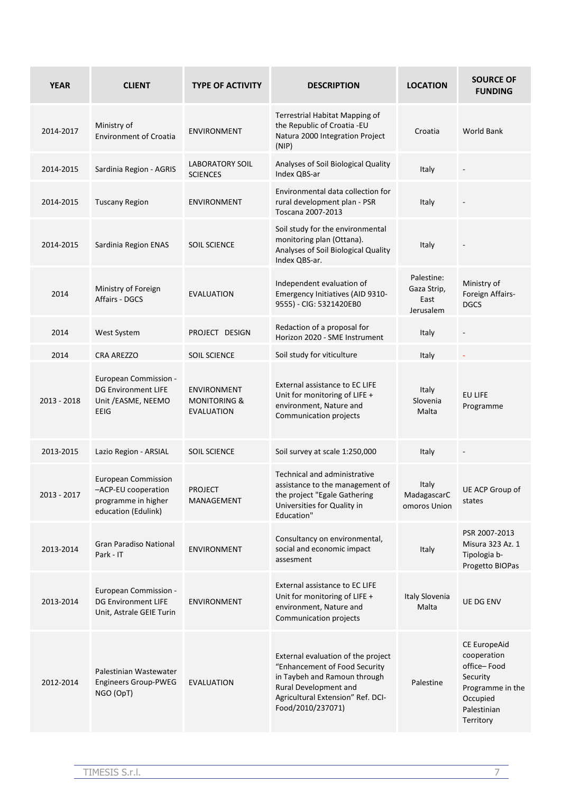| <b>YEAR</b> | <b>CLIENT</b>                                                                                   | <b>TYPE OF ACTIVITY</b>                                            | <b>DESCRIPTION</b>                                                                                                                                                                     | <b>LOCATION</b>                                | <b>SOURCE OF</b><br><b>FUNDING</b>                                                                                 |
|-------------|-------------------------------------------------------------------------------------------------|--------------------------------------------------------------------|----------------------------------------------------------------------------------------------------------------------------------------------------------------------------------------|------------------------------------------------|--------------------------------------------------------------------------------------------------------------------|
| 2014-2017   | Ministry of<br><b>Environment of Croatia</b>                                                    | <b>ENVIRONMENT</b>                                                 | Terrestrial Habitat Mapping of<br>the Republic of Croatia -EU<br>Natura 2000 Integration Project<br>(NIP)                                                                              | Croatia                                        | <b>World Bank</b>                                                                                                  |
| 2014-2015   | Sardinia Region - AGRIS                                                                         | <b>LABORATORY SOIL</b><br><b>SCIENCES</b>                          | Analyses of Soil Biological Quality<br>Index QBS-ar                                                                                                                                    | Italy                                          | $\overline{\phantom{a}}$                                                                                           |
| 2014-2015   | <b>Tuscany Region</b>                                                                           | <b>ENVIRONMENT</b>                                                 | Environmental data collection for<br>rural development plan - PSR<br>Toscana 2007-2013                                                                                                 | Italy                                          |                                                                                                                    |
| 2014-2015   | Sardinia Region ENAS                                                                            | <b>SOIL SCIENCE</b>                                                | Soil study for the environmental<br>monitoring plan (Ottana).<br>Analyses of Soil Biological Quality<br>Index QBS-ar.                                                                  | Italy                                          |                                                                                                                    |
| 2014        | Ministry of Foreign<br>Affairs - DGCS                                                           | <b>EVALUATION</b>                                                  | Independent evaluation of<br>Emergency Initiatives (AID 9310-<br>9555) - CIG: 5321420EB0                                                                                               | Palestine:<br>Gaza Strip,<br>East<br>Jerusalem | Ministry of<br>Foreign Affairs-<br><b>DGCS</b>                                                                     |
| 2014        | West System                                                                                     | PROJECT DESIGN                                                     | Redaction of a proposal for<br>Horizon 2020 - SME Instrument                                                                                                                           | Italy                                          |                                                                                                                    |
| 2014        | <b>CRA AREZZO</b>                                                                               | <b>SOIL SCIENCE</b>                                                | Soil study for viticulture                                                                                                                                                             | Italy                                          |                                                                                                                    |
| 2013 - 2018 | European Commission -<br><b>DG Environment LIFE</b><br>Unit / EASME, NEEMO<br>EEIG              | <b>ENVIRONMENT</b><br><b>MONITORING &amp;</b><br><b>EVALUATION</b> | External assistance to EC LIFE<br>Unit for monitoring of LIFE +<br>environment, Nature and<br>Communication projects                                                                   | Italy<br>Slovenia<br>Malta                     | EU LIFE<br>Programme                                                                                               |
| 2013-2015   | Lazio Region - ARSIAL                                                                           | <b>SOIL SCIENCE</b>                                                | Soil survey at scale 1:250,000                                                                                                                                                         | Italy                                          | $\overline{\phantom{a}}$                                                                                           |
| 2013 - 2017 | <b>European Commission</b><br>-ACP-EU cooperation<br>programme in higher<br>education (Edulink) | <b>PROJECT</b><br>MANAGEMENT                                       | Technical and administrative<br>assistance to the management of<br>the project "Egale Gathering<br>Universities for Quality in<br>Education"                                           | Italy<br>MadagascarC<br>omoros Union           | UE ACP Group of<br>states                                                                                          |
| 2013-2014   | <b>Gran Paradiso National</b><br>Park - IT                                                      | <b>ENVIRONMENT</b>                                                 | Consultancy on environmental,<br>social and economic impact<br>assesment                                                                                                               | Italy                                          | PSR 2007-2013<br>Misura 323 Az. 1<br>Tipologia b-<br>Progetto BIOPas                                               |
| 2013-2014   | European Commission -<br><b>DG Environment LIFE</b><br>Unit, Astrale GEIE Turin                 | <b>ENVIRONMENT</b>                                                 | External assistance to EC LIFE<br>Unit for monitoring of LIFE +<br>environment, Nature and<br>Communication projects                                                                   | Italy Slovenia<br>Malta                        | <b>UE DG ENV</b>                                                                                                   |
| 2012-2014   | Palestinian Wastewater<br><b>Engineers Group-PWEG</b><br>NGO (OpT)                              | EVALUATION                                                         | External evaluation of the project<br>"Enhancement of Food Security<br>in Taybeh and Ramoun through<br>Rural Development and<br>Agricultural Extension" Ref. DCI-<br>Food/2010/237071) | Palestine                                      | CE EuropeAid<br>cooperation<br>office-Food<br>Security<br>Programme in the<br>Occupied<br>Palestinian<br>Territory |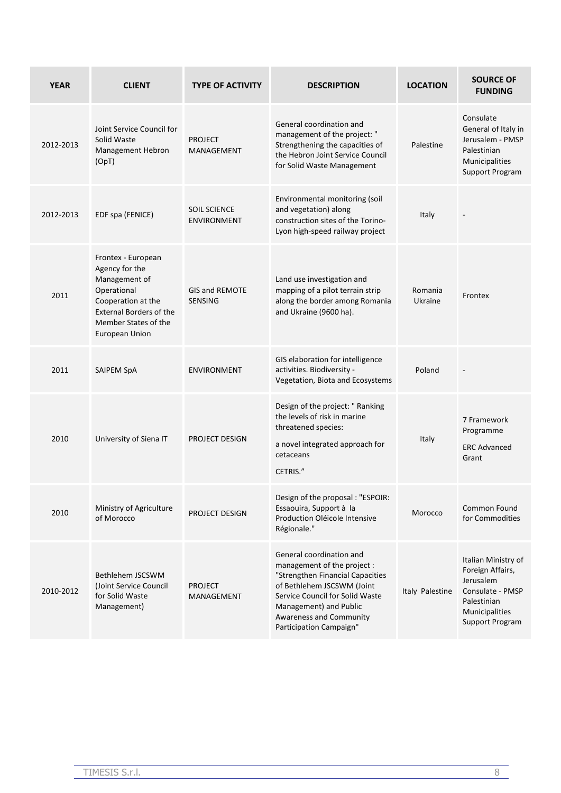| <b>YEAR</b> | <b>CLIENT</b>                                                                                                                                                          | <b>TYPE OF ACTIVITY</b>                   | <b>DESCRIPTION</b>                                                                                                                                                                                                                           | <b>LOCATION</b>    | <b>SOURCE OF</b><br><b>FUNDING</b>                                                                                           |
|-------------|------------------------------------------------------------------------------------------------------------------------------------------------------------------------|-------------------------------------------|----------------------------------------------------------------------------------------------------------------------------------------------------------------------------------------------------------------------------------------------|--------------------|------------------------------------------------------------------------------------------------------------------------------|
| 2012-2013   | Joint Service Council for<br>Solid Waste<br>Management Hebron<br>(OpT)                                                                                                 | <b>PROJECT</b><br>MANAGEMENT              | General coordination and<br>management of the project: "<br>Strengthening the capacities of<br>the Hebron Joint Service Council<br>for Solid Waste Management                                                                                | Palestine          | Consulate<br>General of Italy in<br>Jerusalem - PMSP<br>Palestinian<br>Municipalities<br>Support Program                     |
| 2012-2013   | EDF spa (FENICE)                                                                                                                                                       | <b>SOIL SCIENCE</b><br><b>ENVIRONMENT</b> | Environmental monitoring (soil<br>and vegetation) along<br>construction sites of the Torino-<br>Lyon high-speed railway project                                                                                                              | Italy              |                                                                                                                              |
| 2011        | Frontex - European<br>Agency for the<br>Management of<br>Operational<br>Cooperation at the<br><b>External Borders of the</b><br>Member States of the<br>European Union | <b>GIS and REMOTE</b><br><b>SENSING</b>   | Land use investigation and<br>mapping of a pilot terrain strip<br>along the border among Romania<br>and Ukraine (9600 ha).                                                                                                                   | Romania<br>Ukraine | Frontex                                                                                                                      |
| 2011        | SAIPEM SpA                                                                                                                                                             | <b>ENVIRONMENT</b>                        | GIS elaboration for intelligence<br>activities. Biodiversity -<br>Vegetation, Biota and Ecosystems                                                                                                                                           | Poland             |                                                                                                                              |
| 2010        | University of Siena IT                                                                                                                                                 | PROJECT DESIGN                            | Design of the project: " Ranking<br>the levels of risk in marine<br>threatened species:<br>a novel integrated approach for<br>cetaceans<br>CETRIS."                                                                                          | Italy              | 7 Framework<br>Programme<br><b>ERC Advanced</b><br>Grant                                                                     |
| 2010        | Ministry of Agriculture<br>of Morocco                                                                                                                                  | PROJECT DESIGN                            | Design of the proposal : "ESPOIR:<br>Essaouira, Support à la<br>Production Oléicole Intensive<br>Régionale."                                                                                                                                 | Morocco            | <b>Common Found</b><br>for Commodities                                                                                       |
| 2010-2012   | Bethlehem JSCSWM<br>(Joint Service Council)<br>for Solid Waste<br>Management)                                                                                          | <b>PROJECT</b><br>MANAGEMENT              | General coordination and<br>management of the project :<br>"Strengthen Financial Capacities<br>of Bethlehem JSCSWM (Joint<br>Service Council for Solid Waste<br>Management) and Public<br>Awareness and Community<br>Participation Campaign" | Italy Palestine    | Italian Ministry of<br>Foreign Affairs,<br>Jerusalem<br>Consulate - PMSP<br>Palestinian<br>Municipalities<br>Support Program |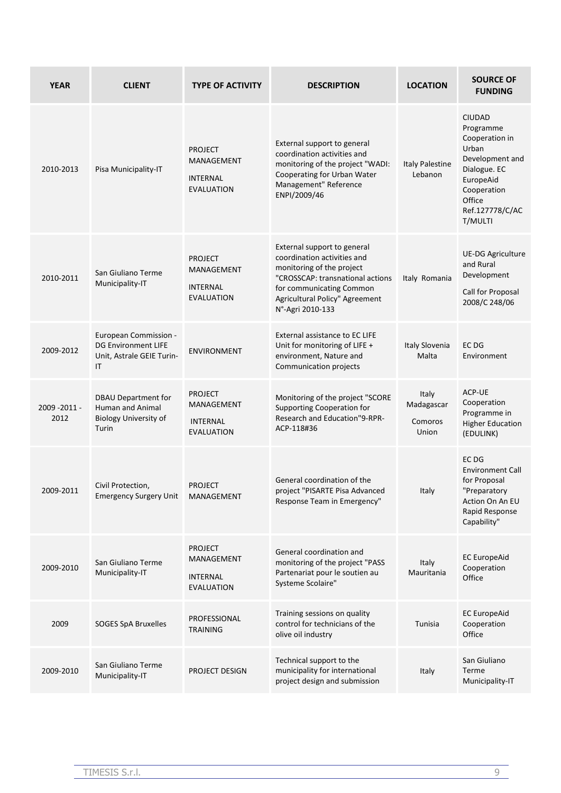| <b>YEAR</b>        | <b>CLIENT</b>                                                                           | <b>TYPE OF ACTIVITY</b>                                              | <b>DESCRIPTION</b>                                                                                                                                                                                            | <b>LOCATION</b>                         | <b>SOURCE OF</b><br><b>FUNDING</b>                                                                                                                           |
|--------------------|-----------------------------------------------------------------------------------------|----------------------------------------------------------------------|---------------------------------------------------------------------------------------------------------------------------------------------------------------------------------------------------------------|-----------------------------------------|--------------------------------------------------------------------------------------------------------------------------------------------------------------|
| 2010-2013          | Pisa Municipality-IT                                                                    | <b>PROJECT</b><br>MANAGEMENT<br><b>INTERNAL</b><br><b>EVALUATION</b> | External support to general<br>coordination activities and<br>monitoring of the project "WADI:<br>Cooperating for Urban Water<br>Management" Reference<br>ENPI/2009/46                                        | <b>Italy Palestine</b><br>Lebanon       | <b>CIUDAD</b><br>Programme<br>Cooperation in<br>Urban<br>Development and<br>Dialogue. EC<br>EuropeAid<br>Cooperation<br>Office<br>Ref.127778/C/AC<br>T/MULTI |
| 2010-2011          | San Giuliano Terme<br>Municipality-IT                                                   | <b>PROJECT</b><br>MANAGEMENT<br>INTERNAL<br><b>EVALUATION</b>        | External support to general<br>coordination activities and<br>monitoring of the project<br>"CROSSCAP: transnational actions<br>for communicating Common<br>Agricultural Policy" Agreement<br>N°-Agri 2010-133 | Italy Romania                           | <b>UE-DG Agriculture</b><br>and Rural<br>Development<br>Call for Proposal<br>2008/C 248/06                                                                   |
| 2009-2012          | European Commission -<br><b>DG Environment LIFE</b><br>Unit, Astrale GEIE Turin-<br>IT  | <b>ENVIRONMENT</b>                                                   | External assistance to EC LIFE<br>Unit for monitoring of LIFE +<br>environment, Nature and<br>Communication projects                                                                                          | Italy Slovenia<br>Malta                 | EC DG<br>Environment                                                                                                                                         |
| 2009-2011-<br>2012 | <b>DBAU Department for</b><br>Human and Animal<br><b>Biology University of</b><br>Turin | <b>PROJECT</b><br>MANAGEMENT<br><b>INTERNAL</b><br><b>EVALUATION</b> | Monitoring of the project "SCORE<br>Supporting Cooperation for<br>Research and Education"9-RPR-<br>ACP-118#36                                                                                                 | Italy<br>Madagascar<br>Comoros<br>Union | ACP-UE<br>Cooperation<br>Programme in<br><b>Higher Education</b><br>(EDULINK)                                                                                |
| 2009-2011          | Civil Protection,<br><b>Emergency Surgery Unit</b>                                      | <b>PROJECT</b><br>MANAGEMENT                                         | General coordination of the<br>project "PISARTE Pisa Advanced<br>Response Team in Emergency"                                                                                                                  | Italy                                   | EC DG<br><b>Environment Call</b><br>for Proposal<br>"Preparatory<br><b>Action On An EU</b><br>Rapid Response<br>Capability"                                  |
| 2009-2010          | San Giuliano Terme<br>Municipality-IT                                                   | <b>PROJECT</b><br>MANAGEMENT<br>INTERNAL<br><b>EVALUATION</b>        | General coordination and<br>monitoring of the project "PASS<br>Partenariat pour le soutien au<br>Systeme Scolaire"                                                                                            | Italy<br>Mauritania                     | <b>EC EuropeAid</b><br>Cooperation<br>Office                                                                                                                 |
| 2009               | SOGES SpA Bruxelles                                                                     | PROFESSIONAL<br><b>TRAINING</b>                                      | Training sessions on quality<br>control for technicians of the<br>olive oil industry                                                                                                                          | Tunisia                                 | <b>EC EuropeAid</b><br>Cooperation<br>Office                                                                                                                 |
| 2009-2010          | San Giuliano Terme<br>Municipality-IT                                                   | PROJECT DESIGN                                                       | Technical support to the<br>municipality for international<br>project design and submission                                                                                                                   | Italy                                   | San Giuliano<br>Terme<br>Municipality-IT                                                                                                                     |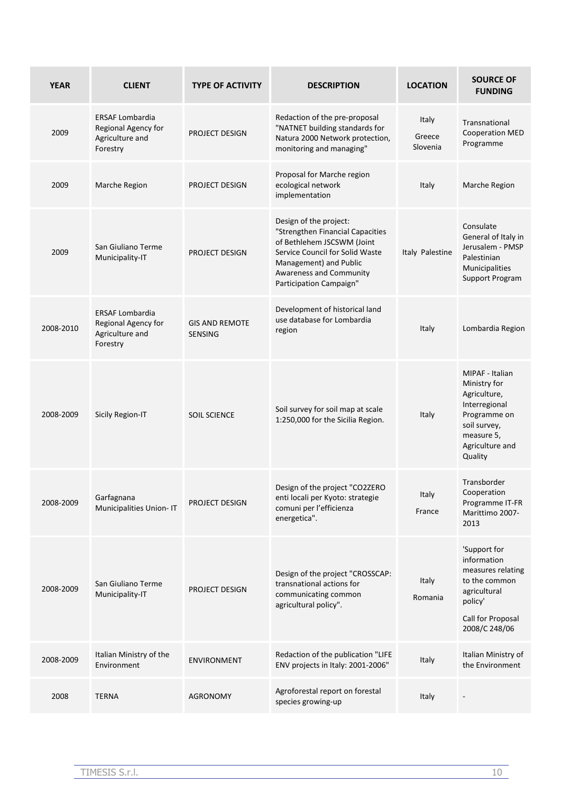| <b>YEAR</b> | <b>CLIENT</b>                                                                | <b>TYPE OF ACTIVITY</b>                 | <b>DESCRIPTION</b>                                                                                                                                                                                                 | <b>LOCATION</b>             | <b>SOURCE OF</b><br><b>FUNDING</b>                                                                                                           |
|-------------|------------------------------------------------------------------------------|-----------------------------------------|--------------------------------------------------------------------------------------------------------------------------------------------------------------------------------------------------------------------|-----------------------------|----------------------------------------------------------------------------------------------------------------------------------------------|
| 2009        | <b>ERSAF Lombardia</b><br>Regional Agency for<br>Agriculture and<br>Forestry | PROJECT DESIGN                          | Redaction of the pre-proposal<br>"NATNET building standards for<br>Natura 2000 Network protection,<br>monitoring and managing"                                                                                     | Italy<br>Greece<br>Slovenia | Transnational<br><b>Cooperation MED</b><br>Programme                                                                                         |
| 2009        | Marche Region                                                                | PROJECT DESIGN                          | Proposal for Marche region<br>ecological network<br>implementation                                                                                                                                                 | Italy                       | Marche Region                                                                                                                                |
| 2009        | San Giuliano Terme<br>Municipality-IT                                        | PROJECT DESIGN                          | Design of the project:<br>"Strengthen Financial Capacities<br>of Bethlehem JSCSWM (Joint<br>Service Council for Solid Waste<br>Management) and Public<br><b>Awareness and Community</b><br>Participation Campaign" | Italy Palestine             | Consulate<br>General of Italy in<br>Jerusalem - PMSP<br>Palestinian<br>Municipalities<br>Support Program                                     |
| 2008-2010   | <b>ERSAF Lombardia</b><br>Regional Agency for<br>Agriculture and<br>Forestry | <b>GIS AND REMOTE</b><br><b>SENSING</b> | Development of historical land<br>use database for Lombardia<br>region                                                                                                                                             | Italy                       | Lombardia Region                                                                                                                             |
| 2008-2009   | Sicily Region-IT                                                             | <b>SOIL SCIENCE</b>                     | Soil survey for soil map at scale<br>1:250,000 for the Sicilia Region.                                                                                                                                             | Italy                       | MIPAF - Italian<br>Ministry for<br>Agriculture,<br>Interregional<br>Programme on<br>soil survey,<br>measure 5,<br>Agriculture and<br>Quality |
| 2008-2009   | Garfagnana<br>Municipalities Union-IT                                        | PROJECT DESIGN                          | Design of the project "CO2ZERO<br>enti locali per Kyoto: strategie<br>comuni per l'efficienza<br>energetica".                                                                                                      | Italy<br>France             | Transborder<br>Cooperation<br>Programme IT-FR<br>Marittimo 2007-<br>2013                                                                     |
| 2008-2009   | San Giuliano Terme<br>Municipality-IT                                        | PROJECT DESIGN                          | Design of the project "CROSSCAP:<br>transnational actions for<br>communicating common<br>agricultural policy".                                                                                                     | Italy<br>Romania            | 'Support for<br>information<br>measures relating<br>to the common<br>agricultural<br>policy'<br>Call for Proposal<br>2008/C 248/06           |
| 2008-2009   | Italian Ministry of the<br>Environment                                       | <b>ENVIRONMENT</b>                      | Redaction of the publication "LIFE<br>ENV projects in Italy: 2001-2006"                                                                                                                                            | Italy                       | Italian Ministry of<br>the Environment                                                                                                       |
| 2008        | <b>TERNA</b>                                                                 | <b>AGRONOMY</b>                         | Agroforestal report on forestal<br>species growing-up                                                                                                                                                              | Italy                       |                                                                                                                                              |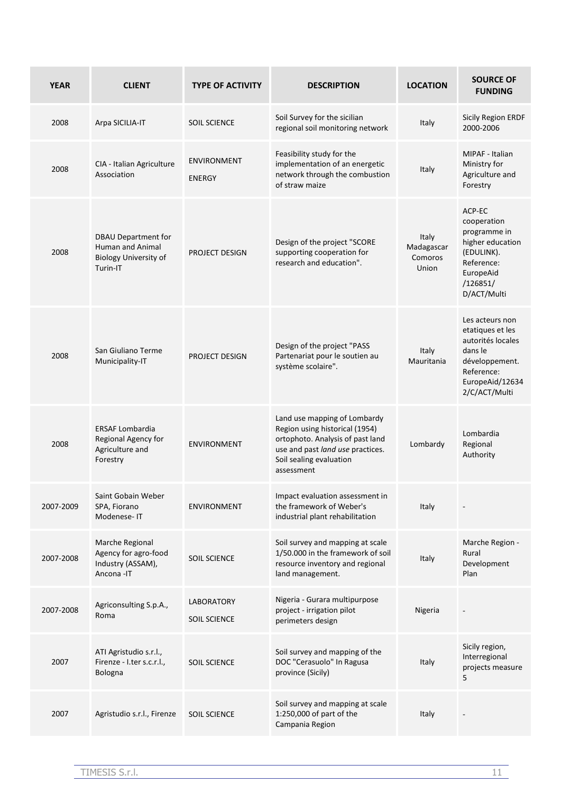| <b>YEAR</b> | <b>CLIENT</b>                                                                                     | <b>TYPE OF ACTIVITY</b>             | <b>DESCRIPTION</b>                                                                                                                                                              | <b>LOCATION</b>                         | <b>SOURCE OF</b><br><b>FUNDING</b>                                                                                                      |
|-------------|---------------------------------------------------------------------------------------------------|-------------------------------------|---------------------------------------------------------------------------------------------------------------------------------------------------------------------------------|-----------------------------------------|-----------------------------------------------------------------------------------------------------------------------------------------|
| 2008        | Arpa SICILIA-IT                                                                                   | <b>SOIL SCIENCE</b>                 | Soil Survey for the sicilian<br>regional soil monitoring network                                                                                                                | Italy                                   | <b>Sicily Region ERDF</b><br>2000-2006                                                                                                  |
| 2008        | CIA - Italian Agriculture<br>Association                                                          | <b>ENVIRONMENT</b><br><b>ENERGY</b> | Feasibility study for the<br>implementation of an energetic<br>network through the combustion<br>of straw maize                                                                 | Italy                                   | MIPAF - Italian<br>Ministry for<br>Agriculture and<br>Forestry                                                                          |
| 2008        | <b>DBAU Department for</b><br><b>Human and Animal</b><br><b>Biology University of</b><br>Turin-IT | PROJECT DESIGN                      | Design of the project "SCORE<br>supporting cooperation for<br>research and education".                                                                                          | Italy<br>Madagascar<br>Comoros<br>Union | ACP-EC<br>cooperation<br>programme in<br>higher education<br>(EDULINK).<br>Reference:<br>EuropeAid<br>/126851/<br>D/ACT/Multi           |
| 2008        | San Giuliano Terme<br>Municipality-IT                                                             | PROJECT DESIGN                      | Design of the project "PASS<br>Partenariat pour le soutien au<br>système scolaire".                                                                                             | Italy<br>Mauritania                     | Les acteurs non<br>etatiques et les<br>autorités locales<br>dans le<br>développement.<br>Reference:<br>EuropeAid/12634<br>2/C/ACT/Multi |
| 2008        | <b>ERSAF Lombardia</b><br>Regional Agency for<br>Agriculture and<br>Forestry                      | <b>ENVIRONMENT</b>                  | Land use mapping of Lombardy<br>Region using historical (1954)<br>ortophoto. Analysis of past land<br>use and past land use practices.<br>Soil sealing evaluation<br>assessment | Lombardy                                | Lombardia<br>Regional<br>Authority                                                                                                      |
| 2007-2009   | Saint Gobain Weber<br>SPA, Fiorano<br>Modenese-IT                                                 | <b>ENVIRONMENT</b>                  | Impact evaluation assessment in<br>the framework of Weber's<br>industrial plant rehabilitation                                                                                  | Italy                                   |                                                                                                                                         |
| 2007-2008   | Marche Regional<br>Agency for agro-food<br>Industry (ASSAM),<br>Ancona -IT                        | <b>SOIL SCIENCE</b>                 | Soil survey and mapping at scale<br>1/50.000 in the framework of soil<br>resource inventory and regional<br>land management.                                                    | Italy                                   | Marche Region -<br>Rural<br>Development<br>Plan                                                                                         |
| 2007-2008   | Agriconsulting S.p.A.,<br>Roma                                                                    | LABORATORY<br><b>SOIL SCIENCE</b>   | Nigeria - Gurara multipurpose<br>project - irrigation pilot<br>perimeters design                                                                                                | Nigeria                                 |                                                                                                                                         |
| 2007        | ATI Agristudio s.r.l.,<br>Firenze - I.ter s.c.r.l.,<br>Bologna                                    | <b>SOIL SCIENCE</b>                 | Soil survey and mapping of the<br>DOC "Cerasuolo" In Ragusa<br>province (Sicily)                                                                                                | Italy                                   | Sicily region,<br>Interregional<br>projects measure<br>5                                                                                |
| 2007        | Agristudio s.r.l., Firenze                                                                        | <b>SOIL SCIENCE</b>                 | Soil survey and mapping at scale<br>1:250,000 of part of the<br>Campania Region                                                                                                 | Italy                                   |                                                                                                                                         |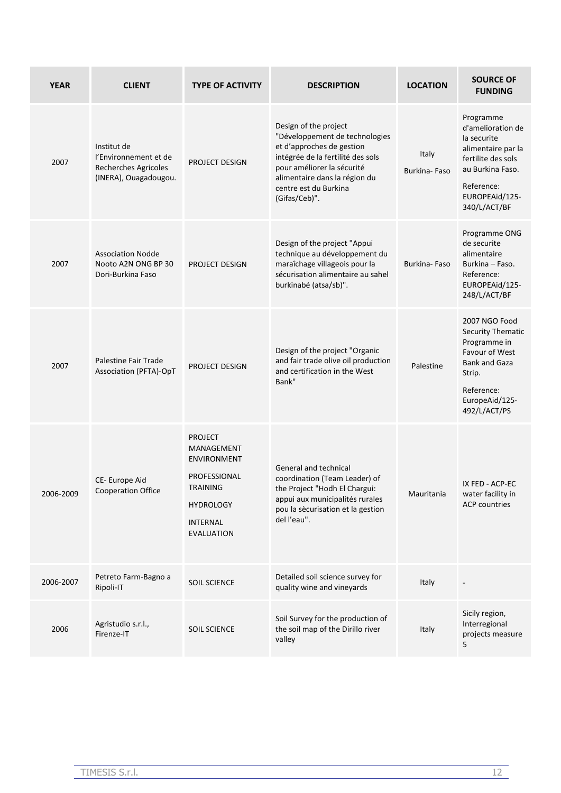| <b>YEAR</b> | <b>CLIENT</b>                                                                         | <b>TYPE OF ACTIVITY</b>                                                                                                                           | <b>DESCRIPTION</b>                                                                                                                                                                                                                 | <b>LOCATION</b>       | <b>SOURCE OF</b><br><b>FUNDING</b>                                                                                                                            |
|-------------|---------------------------------------------------------------------------------------|---------------------------------------------------------------------------------------------------------------------------------------------------|------------------------------------------------------------------------------------------------------------------------------------------------------------------------------------------------------------------------------------|-----------------------|---------------------------------------------------------------------------------------------------------------------------------------------------------------|
| 2007        | Institut de<br>l'Environnement et de<br>Recherches Agricoles<br>(INERA), Ouagadougou. | PROJECT DESIGN                                                                                                                                    | Design of the project<br>"Développement de technologies<br>et d'approches de gestion<br>intégrée de la fertilité des sols<br>pour améliorer la sécurité<br>alimentaire dans la région du<br>centre est du Burkina<br>(Gifas/Ceb)". | Italy<br>Burkina-Faso | Programme<br>d'amelioration de<br>la securite<br>alimentaire par la<br>fertilite des sols<br>au Burkina Faso.<br>Reference:<br>EUROPEAid/125-<br>340/L/ACT/BF |
| 2007        | <b>Association Nodde</b><br>Nooto A2N ONG BP 30<br>Dori-Burkina Faso                  | PROJECT DESIGN                                                                                                                                    | Design of the project "Appui<br>technique au développement du<br>maraîchage villageois pour la<br>sécurisation alimentaire au sahel<br>burkinabé (atsa/sb)".                                                                       | Burkina-Faso          | Programme ONG<br>de securite<br>alimentaire<br>Burkina - Faso.<br>Reference:<br>EUROPEAid/125-<br>248/L/ACT/BF                                                |
| 2007        | Palestine Fair Trade<br>Association (PFTA)-OpT                                        | PROJECT DESIGN                                                                                                                                    | Design of the project "Organic<br>and fair trade olive oil production<br>and certification in the West<br>Bank"                                                                                                                    | Palestine             | 2007 NGO Food<br>Security Thematic<br>Programme in<br>Favour of West<br><b>Bank and Gaza</b><br>Strip.<br>Reference:<br>EuropeAid/125-<br>492/L/ACT/PS        |
| 2006-2009   | CE-Europe Aid<br><b>Cooperation Office</b>                                            | <b>PROJECT</b><br>MANAGEMENT<br><b>ENVIRONMENT</b><br>PROFESSIONAL<br><b>TRAINING</b><br><b>HYDROLOGY</b><br><b>INTERNAL</b><br><b>EVALUATION</b> | General and technical<br>coordination (Team Leader) of<br>the Project "Hodh El Chargui:<br>appui aux municipalités rurales<br>pou la sècurisation et la gestion<br>del l'eau".                                                     | Mauritania            | IX FED - ACP-EC<br>water facility in<br><b>ACP countries</b>                                                                                                  |
| 2006-2007   | Petreto Farm-Bagno a<br>Ripoli-IT                                                     | SOIL SCIENCE                                                                                                                                      | Detailed soil science survey for<br>quality wine and vineyards                                                                                                                                                                     | Italy                 |                                                                                                                                                               |
| 2006        | Agristudio s.r.l.,<br>Firenze-IT                                                      | SOIL SCIENCE                                                                                                                                      | Soil Survey for the production of<br>the soil map of the Dirillo river<br>valley                                                                                                                                                   | Italy                 | Sicily region,<br>Interregional<br>projects measure<br>5                                                                                                      |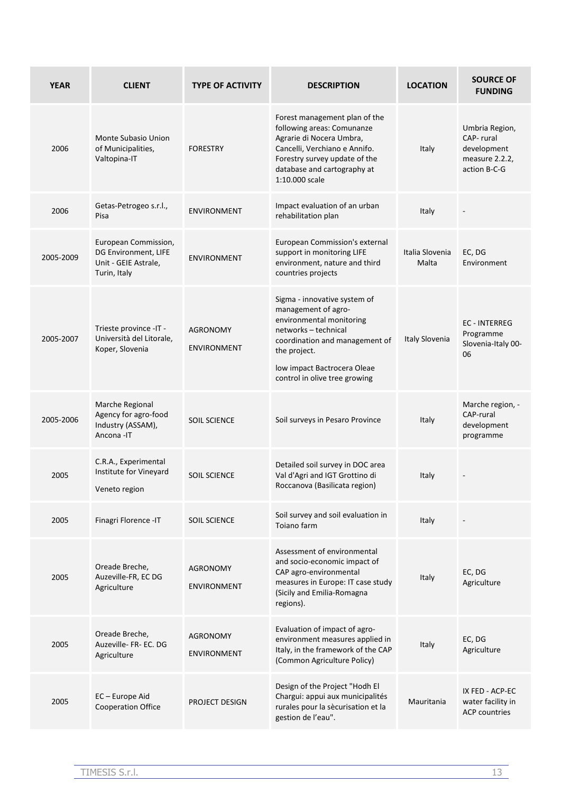| <b>YEAR</b> | <b>CLIENT</b>                                                                        | <b>TYPE OF ACTIVITY</b>               | <b>DESCRIPTION</b>                                                                                                                                                                                                        | <b>LOCATION</b>          | <b>SOURCE OF</b><br><b>FUNDING</b>                                           |
|-------------|--------------------------------------------------------------------------------------|---------------------------------------|---------------------------------------------------------------------------------------------------------------------------------------------------------------------------------------------------------------------------|--------------------------|------------------------------------------------------------------------------|
| 2006        | Monte Subasio Union<br>of Municipalities,<br>Valtopina-IT                            | <b>FORESTRY</b>                       | Forest management plan of the<br>following areas: Comunanze<br>Agrarie di Nocera Umbra,<br>Cancelli, Verchiano e Annifo.<br>Forestry survey update of the<br>database and cartography at<br>1:10.000 scale                | Italy                    | Umbria Region,<br>CAP-rural<br>development<br>measure 2.2.2,<br>action B-C-G |
| 2006        | Getas-Petrogeo s.r.l.,<br>Pisa                                                       | <b>ENVIRONMENT</b>                    | Impact evaluation of an urban<br>rehabilitation plan                                                                                                                                                                      | Italy                    |                                                                              |
| 2005-2009   | European Commission,<br>DG Environment, LIFE<br>Unit - GEIE Astrale,<br>Turin, Italy | <b>ENVIRONMENT</b>                    | European Commission's external<br>support in monitoring LIFE<br>environment, nature and third<br>countries projects                                                                                                       | Italia Slovenia<br>Malta | EC, DG<br>Environment                                                        |
| 2005-2007   | Trieste province -IT -<br>Università del Litorale,<br>Koper, Slovenia                | <b>AGRONOMY</b><br><b>ENVIRONMENT</b> | Sigma - innovative system of<br>management of agro-<br>environmental monitoring<br>networks - technical<br>coordination and management of<br>the project.<br>low impact Bactrocera Oleae<br>control in olive tree growing | Italy Slovenia           | <b>EC - INTERREG</b><br>Programme<br>Slovenia-Italy 00-<br>06                |
| 2005-2006   | Marche Regional<br>Agency for agro-food<br>Industry (ASSAM),<br>Ancona - IT          | <b>SOIL SCIENCE</b>                   | Soil surveys in Pesaro Province                                                                                                                                                                                           | Italy                    | Marche region, -<br>CAP-rural<br>development<br>programme                    |
| 2005        | C.R.A., Experimental<br>Institute for Vineyard<br>Veneto region                      | <b>SOIL SCIENCE</b>                   | Detailed soil survey in DOC area<br>Val d'Agri and IGT Grottino di<br>Roccanova (Basilicata region)                                                                                                                       | Italy                    |                                                                              |
| 2005        | Finagri Florence - IT                                                                | <b>SOIL SCIENCE</b>                   | Soil survey and soil evaluation in<br>Toiano farm                                                                                                                                                                         | Italy                    |                                                                              |
| 2005        | Oreade Breche,<br>Auzeville-FR, EC DG<br>Agriculture                                 | <b>AGRONOMY</b><br><b>ENVIRONMENT</b> | Assessment of environmental<br>and socio-economic impact of<br>CAP agro-environmental<br>measures in Europe: IT case study<br>(Sicily and Emilia-Romagna<br>regions).                                                     | Italy                    | EC, DG<br>Agriculture                                                        |
| 2005        | Oreade Breche,<br>Auzeville- FR- EC. DG<br>Agriculture                               | AGRONOMY<br><b>ENVIRONMENT</b>        | Evaluation of impact of agro-<br>environment measures applied in<br>Italy, in the framework of the CAP<br>(Common Agriculture Policy)                                                                                     | Italy                    | EC, DG<br>Agriculture                                                        |
| 2005        | EC-Europe Aid<br>Cooperation Office                                                  | PROJECT DESIGN                        | Design of the Project "Hodh El<br>Chargui: appui aux municipalités<br>rurales pour la sècurisation et la<br>gestion de l'eau".                                                                                            | Mauritania               | IX FED - ACP-EC<br>water facility in<br><b>ACP</b> countries                 |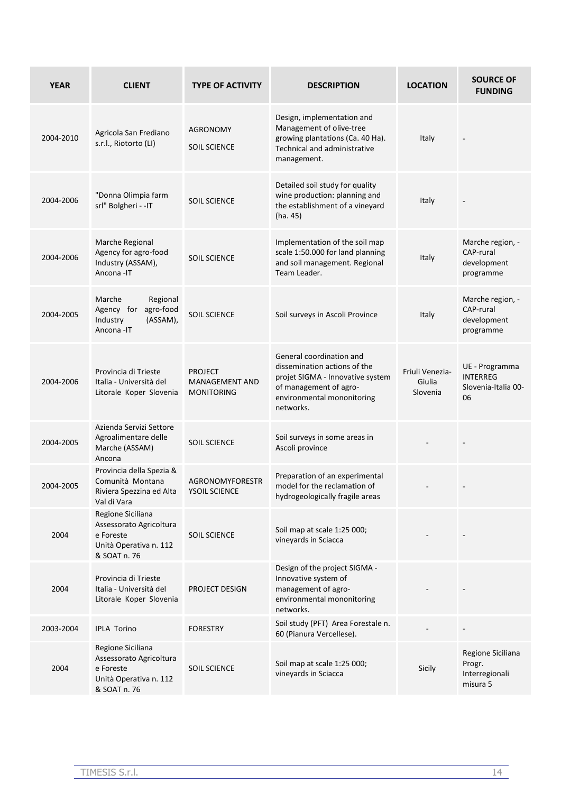| <b>YEAR</b> | <b>CLIENT</b>                                                                                       | <b>TYPE OF ACTIVITY</b>                               | <b>DESCRIPTION</b>                                                                                                                                                | <b>LOCATION</b>                       | <b>SOURCE OF</b><br><b>FUNDING</b>                             |
|-------------|-----------------------------------------------------------------------------------------------------|-------------------------------------------------------|-------------------------------------------------------------------------------------------------------------------------------------------------------------------|---------------------------------------|----------------------------------------------------------------|
| 2004-2010   | Agricola San Frediano<br>s.r.l., Riotorto (LI)                                                      | AGRONOMY<br><b>SOIL SCIENCE</b>                       | Design, implementation and<br>Management of olive-tree<br>growing plantations (Ca. 40 Ha).<br><b>Technical and administrative</b><br>management.                  | Italy                                 |                                                                |
| 2004-2006   | "Donna Olimpia farm<br>srl" Bolgheri - - IT                                                         | <b>SOIL SCIENCE</b>                                   | Detailed soil study for quality<br>wine production: planning and<br>the establishment of a vineyard<br>(ha. 45)                                                   | Italy                                 |                                                                |
| 2004-2006   | Marche Regional<br>Agency for agro-food<br>Industry (ASSAM),<br>Ancona -IT                          | <b>SOIL SCIENCE</b>                                   | Implementation of the soil map<br>scale 1:50.000 for land planning<br>and soil management. Regional<br>Team Leader.                                               | Italy                                 | Marche region, -<br>CAP-rural<br>development<br>programme      |
| 2004-2005   | Marche<br>Regional<br>agro-food<br>Agency for<br>(ASSAM),<br>Industry<br>Ancona-IT                  | <b>SOIL SCIENCE</b>                                   | Soil surveys in Ascoli Province                                                                                                                                   | Italy                                 | Marche region, -<br>CAP-rural<br>development<br>programme      |
| 2004-2006   | Provincia di Trieste<br>Italia - Università del<br>Litorale Koper Slovenia                          | <b>PROJECT</b><br>MANAGEMENT AND<br><b>MONITORING</b> | General coordination and<br>dissemination actions of the<br>projet SIGMA - Innovative system<br>of management of agro-<br>environmental mononitoring<br>networks. | Friuli Venezia-<br>Giulia<br>Slovenia | UE - Programma<br><b>INTERREG</b><br>Slovenia-Italia 00-<br>06 |
| 2004-2005   | Azienda Servizi Settore<br>Agroalimentare delle<br>Marche (ASSAM)<br>Ancona                         | <b>SOIL SCIENCE</b>                                   | Soil surveys in some areas in<br>Ascoli province                                                                                                                  |                                       |                                                                |
| 2004-2005   | Provincia della Spezia &<br>Comunità Montana<br>Riviera Spezzina ed Alta<br>Val di Vara             | AGRONOMYFORESTR<br>YSOIL SCIENCE                      | Preparation of an experimental<br>model for the reclamation of<br>hydrogeologically fragile areas                                                                 |                                       |                                                                |
| 2004        | Regione Siciliana<br>Assessorato Agricoltura<br>e Foreste<br>Unità Operativa n. 112<br>& SOAT n. 76 | <b>SOIL SCIENCE</b>                                   | Soil map at scale 1:25 000;<br>vineyards in Sciacca                                                                                                               |                                       |                                                                |
| 2004        | Provincia di Trieste<br>Italia - Università del<br>Litorale Koper Slovenia                          | PROJECT DESIGN                                        | Design of the project SIGMA -<br>Innovative system of<br>management of agro-<br>environmental mononitoring<br>networks.                                           |                                       |                                                                |
| 2003-2004   | <b>IPLA Torino</b>                                                                                  | <b>FORESTRY</b>                                       | Soil study (PFT) Area Forestale n.<br>60 (Pianura Vercellese).                                                                                                    |                                       |                                                                |
| 2004        | Regione Siciliana<br>Assessorato Agricoltura<br>e Foreste<br>Unità Operativa n. 112<br>& SOAT n. 76 | <b>SOIL SCIENCE</b>                                   | Soil map at scale 1:25 000;<br>vineyards in Sciacca                                                                                                               | Sicily                                | Regione Siciliana<br>Progr.<br>Interregionali<br>misura 5      |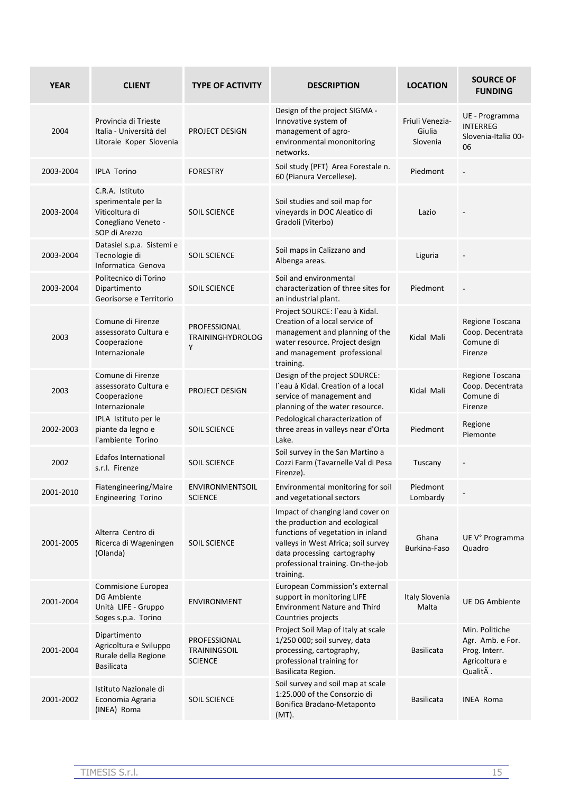| <b>YEAR</b> | <b>CLIENT</b>                                                                                    | <b>TYPE OF ACTIVITY</b>                               | <b>DESCRIPTION</b>                                                                                                                                                                                                             | <b>LOCATION</b>                       | <b>SOURCE OF</b><br><b>FUNDING</b>                                               |
|-------------|--------------------------------------------------------------------------------------------------|-------------------------------------------------------|--------------------------------------------------------------------------------------------------------------------------------------------------------------------------------------------------------------------------------|---------------------------------------|----------------------------------------------------------------------------------|
| 2004        | Provincia di Trieste<br>Italia - Università del<br>Litorale Koper Slovenia                       | PROJECT DESIGN                                        | Design of the project SIGMA -<br>Innovative system of<br>management of agro-<br>environmental mononitoring<br>networks.                                                                                                        | Friuli Venezia-<br>Giulia<br>Slovenia | UE - Programma<br><b>INTERREG</b><br>Slovenia-Italia 00-<br>06                   |
| 2003-2004   | <b>IPLA Torino</b>                                                                               | <b>FORESTRY</b>                                       | Soil study (PFT) Area Forestale n.<br>60 (Pianura Vercellese).                                                                                                                                                                 | Piedmont                              | $\overline{\phantom{a}}$                                                         |
| 2003-2004   | C.R.A. Istituto<br>sperimentale per la<br>Viticoltura di<br>Conegliano Veneto -<br>SOP di Arezzo | <b>SOIL SCIENCE</b>                                   | Soil studies and soil map for<br>vineyards in DOC Aleatico di<br>Gradoli (Viterbo)                                                                                                                                             | Lazio                                 |                                                                                  |
| 2003-2004   | Datasiel s.p.a. Sistemi e<br>Tecnologie di<br>Informatica Genova                                 | <b>SOIL SCIENCE</b>                                   | Soil maps in Calizzano and<br>Albenga areas.                                                                                                                                                                                   | Liguria                               |                                                                                  |
| 2003-2004   | Politecnico di Torino<br>Dipartimento<br>Georisorse e Territorio                                 | <b>SOIL SCIENCE</b>                                   | Soil and environmental<br>characterization of three sites for<br>an industrial plant.                                                                                                                                          | Piedmont                              |                                                                                  |
| 2003        | Comune di Firenze<br>assessorato Cultura e<br>Cooperazione<br>Internazionale                     | PROFESSIONAL<br><b>TRAININGHYDROLOG</b><br>Υ          | Project SOURCE: l'eau à Kidal.<br>Creation of a local service of<br>management and planning of the<br>water resource. Project design<br>and management professional<br>training.                                               | Kidal Mali                            | Regione Toscana<br>Coop. Decentrata<br>Comune di<br>Firenze                      |
| 2003        | Comune di Firenze<br>assessorato Cultura e<br>Cooperazione<br>Internazionale                     | PROJECT DESIGN                                        | Design of the project SOURCE:<br>l'eau à Kidal. Creation of a local<br>service of management and<br>planning of the water resource.                                                                                            | Kidal Mali                            | Regione Toscana<br>Coop. Decentrata<br>Comune di<br>Firenze                      |
| 2002-2003   | IPLA Istituto per le<br>piante da legno e<br>l'ambiente Torino                                   | <b>SOIL SCIENCE</b>                                   | Pedological characterization of<br>three areas in valleys near d'Orta<br>Lake.                                                                                                                                                 | Piedmont                              | Regione<br>Piemonte                                                              |
| 2002        | <b>Edafos International</b><br>s.r.l. Firenze                                                    | <b>SOIL SCIENCE</b>                                   | Soil survey in the San Martino a<br>Cozzi Farm (Tavarnelle Val di Pesa<br>Firenze).                                                                                                                                            | Tuscany                               |                                                                                  |
| 2001-2010   | Fiatengineering/Maire<br><b>Engineering Torino</b>                                               | <b>ENVIRONMENTSOIL</b><br><b>SCIENCE</b>              | Environmental monitoring for soil<br>and vegetational sectors                                                                                                                                                                  | Piedmont<br>Lombardy                  |                                                                                  |
| 2001-2005   | Alterra Centro di<br>Ricerca di Wageningen<br>(Olanda)                                           | <b>SOIL SCIENCE</b>                                   | Impact of changing land cover on<br>the production and ecological<br>functions of vegetation in inland<br>valleys in West Africa; soil survey<br>data processing cartography<br>professional training. On-the-job<br>training. | Ghana<br>Burkina-Faso                 | UE V° Programma<br>Quadro                                                        |
| 2001-2004   | Commisione Europea<br>DG Ambiente<br>Unità LIFE - Gruppo<br>Soges s.p.a. Torino                  | ENVIRONMENT                                           | European Commission's external<br>support in monitoring LIFE<br><b>Environment Nature and Third</b><br>Countries projects                                                                                                      | Italy Slovenia<br>Malta               | <b>UE DG Ambiente</b>                                                            |
| 2001-2004   | Dipartimento<br>Agricoltura e Sviluppo<br>Rurale della Regione<br><b>Basilicata</b>              | PROFESSIONAL<br><b>TRAININGSOIL</b><br><b>SCIENCE</b> | Project Soil Map of Italy at scale<br>1/250 000; soil survey, data<br>processing, cartography,<br>professional training for<br>Basilicata Region.                                                                              | <b>Basilicata</b>                     | Min. Politiche<br>Agr. Amb. e For.<br>Prog. Interr.<br>Agricoltura e<br>QualitÃ. |
| 2001-2002   | Istituto Nazionale di<br>Economia Agraria<br>(INEA) Roma                                         | <b>SOIL SCIENCE</b>                                   | Soil survey and soil map at scale<br>1:25.000 of the Consorzio di<br>Bonifica Bradano-Metaponto<br>(MT).                                                                                                                       | <b>Basilicata</b>                     | INEA Roma                                                                        |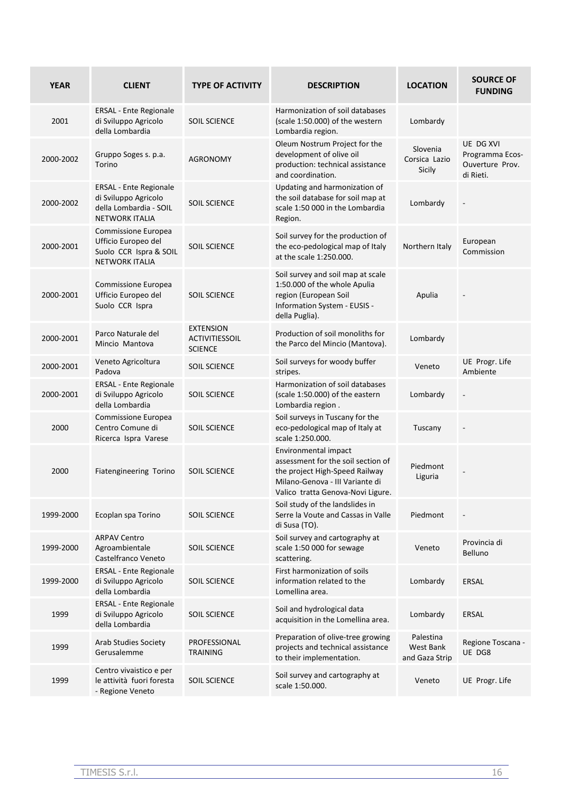| <b>YEAR</b> | <b>CLIENT</b>                                                                                            | <b>TYPE OF ACTIVITY</b>                                     | <b>DESCRIPTION</b>                                                                                                                                                   | <b>LOCATION</b>                          | <b>SOURCE OF</b><br><b>FUNDING</b>                           |
|-------------|----------------------------------------------------------------------------------------------------------|-------------------------------------------------------------|----------------------------------------------------------------------------------------------------------------------------------------------------------------------|------------------------------------------|--------------------------------------------------------------|
| 2001        | <b>ERSAL</b> - Ente Regionale<br>di Sviluppo Agricolo<br>della Lombardia                                 | <b>SOIL SCIENCE</b>                                         | Harmonization of soil databases<br>(scale 1:50.000) of the western<br>Lombardia region.                                                                              | Lombardy                                 |                                                              |
| 2000-2002   | Gruppo Soges s. p.a.<br>Torino                                                                           | <b>AGRONOMY</b>                                             | Oleum Nostrum Project for the<br>development of olive oil<br>production: technical assistance<br>and coordination.                                                   | Slovenia<br>Corsica Lazio<br>Sicily      | UE DG XVI<br>Programma Ecos-<br>Ouverture Prov.<br>di Rieti. |
| 2000-2002   | <b>ERSAL - Ente Regionale</b><br>di Sviluppo Agricolo<br>della Lombardia - SOIL<br><b>NETWORK ITALIA</b> | <b>SOIL SCIENCE</b>                                         | Updating and harmonization of<br>the soil database for soil map at<br>scale 1:50 000 in the Lombardia<br>Region.                                                     | Lombardy                                 |                                                              |
| 2000-2001   | Commissione Europea<br>Ufficio Europeo del<br>Suolo CCR Ispra & SOIL<br><b>NETWORK ITALIA</b>            | <b>SOIL SCIENCE</b>                                         | Soil survey for the production of<br>the eco-pedological map of Italy<br>at the scale 1:250.000.                                                                     | Northern Italy                           | European<br>Commission                                       |
| 2000-2001   | Commissione Europea<br>Ufficio Europeo del<br>Suolo CCR Ispra                                            | <b>SOIL SCIENCE</b>                                         | Soil survey and soil map at scale<br>1:50.000 of the whole Apulia<br>region (European Soil<br>Information System - EUSIS -<br>della Puglia).                         | Apulia                                   |                                                              |
| 2000-2001   | Parco Naturale del<br>Mincio Mantova                                                                     | <b>EXTENSION</b><br><b>ACTIVITIESSOIL</b><br><b>SCIENCE</b> | Production of soil monoliths for<br>the Parco del Mincio (Mantova).                                                                                                  | Lombardy                                 |                                                              |
| 2000-2001   | Veneto Agricoltura<br>Padova                                                                             | <b>SOIL SCIENCE</b>                                         | Soil surveys for woody buffer<br>stripes.                                                                                                                            | Veneto                                   | UE Progr. Life<br>Ambiente                                   |
| 2000-2001   | <b>ERSAL</b> - Ente Regionale<br>di Sviluppo Agricolo<br>della Lombardia                                 | <b>SOIL SCIENCE</b>                                         | Harmonization of soil databases<br>(scale 1:50.000) of the eastern<br>Lombardia region.                                                                              | Lombardy                                 |                                                              |
| 2000        | Commissione Europea<br>Centro Comune di<br>Ricerca Ispra Varese                                          | <b>SOIL SCIENCE</b>                                         | Soil surveys in Tuscany for the<br>eco-pedological map of Italy at<br>scale 1:250.000.                                                                               | Tuscany                                  |                                                              |
| 2000        | Fiatengineering Torino                                                                                   | <b>SOIL SCIENCE</b>                                         | Environmental impact<br>assessment for the soil section of<br>the project High-Speed Railway<br>Milano-Genova - III Variante di<br>Valico tratta Genova-Novi Ligure. | Piedmont<br>Liguria                      |                                                              |
| 1999-2000   | Ecoplan spa Torino                                                                                       | <b>SOIL SCIENCE</b>                                         | Soil study of the landslides in<br>Serre la Voute and Cassas in Valle<br>di Susa (TO).                                                                               | Piedmont                                 |                                                              |
| 1999-2000   | <b>ARPAV Centro</b><br>Agroambientale<br>Castelfranco Veneto                                             | <b>SOIL SCIENCE</b>                                         | Soil survey and cartography at<br>scale 1:50 000 for sewage<br>scattering.                                                                                           | Veneto                                   | Provincia di<br><b>Belluno</b>                               |
| 1999-2000   | <b>ERSAL</b> - Ente Regionale<br>di Sviluppo Agricolo<br>della Lombardia                                 | <b>SOIL SCIENCE</b>                                         | First harmonization of soils<br>information related to the<br>Lomellina area.                                                                                        | Lombardy                                 | ERSAL                                                        |
| 1999        | <b>ERSAL - Ente Regionale</b><br>di Sviluppo Agricolo<br>della Lombardia                                 | <b>SOIL SCIENCE</b>                                         | Soil and hydrological data<br>acquisition in the Lomellina area.                                                                                                     | Lombardy                                 | ERSAL                                                        |
| 1999        | <b>Arab Studies Society</b><br>Gerusalemme                                                               | PROFESSIONAL<br><b>TRAINING</b>                             | Preparation of olive-tree growing<br>projects and technical assistance<br>to their implementation.                                                                   | Palestina<br>West Bank<br>and Gaza Strip | Regione Toscana -<br>UE DG8                                  |
| 1999        | Centro vivaistico e per<br>le attività fuori foresta<br>- Regione Veneto                                 | <b>SOIL SCIENCE</b>                                         | Soil survey and cartography at<br>scale 1:50.000.                                                                                                                    | Veneto                                   | UE Progr. Life                                               |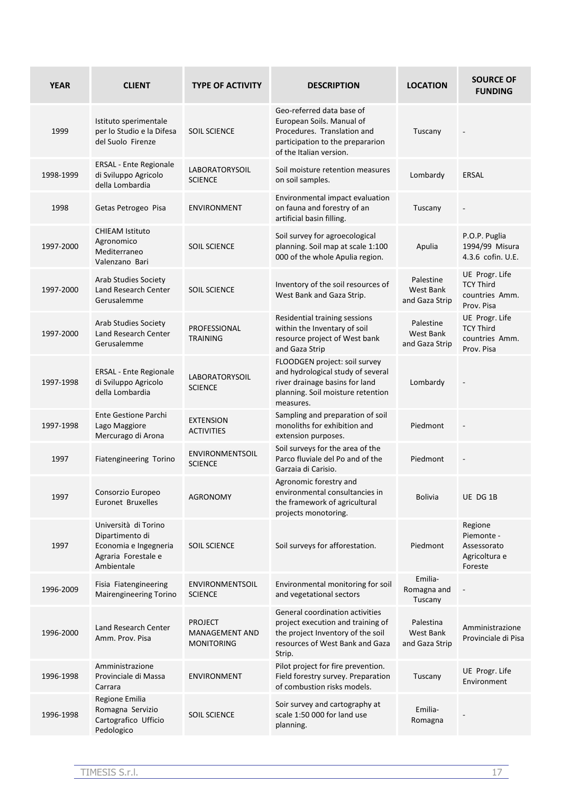| <b>YEAR</b> | <b>CLIENT</b>                                                                                         | <b>TYPE OF ACTIVITY</b>                               | <b>DESCRIPTION</b>                                                                                                                                     | <b>LOCATION</b>                          | <b>SOURCE OF</b><br><b>FUNDING</b>                                 |
|-------------|-------------------------------------------------------------------------------------------------------|-------------------------------------------------------|--------------------------------------------------------------------------------------------------------------------------------------------------------|------------------------------------------|--------------------------------------------------------------------|
| 1999        | Istituto sperimentale<br>per lo Studio e la Difesa<br>del Suolo Firenze                               | <b>SOIL SCIENCE</b>                                   | Geo-referred data base of<br>European Soils. Manual of<br>Procedures. Translation and<br>participation to the prepararion<br>of the Italian version.   | Tuscany                                  |                                                                    |
| 1998-1999   | <b>ERSAL</b> - Ente Regionale<br>di Sviluppo Agricolo<br>della Lombardia                              | LABORATORYSOIL<br><b>SCIENCE</b>                      | Soil moisture retention measures<br>on soil samples.                                                                                                   | Lombardy                                 | <b>ERSAL</b>                                                       |
| 1998        | Getas Petrogeo Pisa                                                                                   | <b>ENVIRONMENT</b>                                    | Environmental impact evaluation<br>on fauna and forestry of an<br>artificial basin filling.                                                            | Tuscany                                  |                                                                    |
| 1997-2000   | <b>CHIEAM Istituto</b><br>Agronomico<br>Mediterraneo<br>Valenzano Bari                                | <b>SOIL SCIENCE</b>                                   | Soil survey for agroecological<br>planning. Soil map at scale 1:100<br>000 of the whole Apulia region.                                                 | Apulia                                   | P.O.P. Puglia<br>1994/99 Misura<br>4.3.6 cofin. U.E.               |
| 1997-2000   | <b>Arab Studies Society</b><br>Land Research Center<br>Gerusalemme                                    | <b>SOIL SCIENCE</b>                                   | Inventory of the soil resources of<br>West Bank and Gaza Strip.                                                                                        | Palestine<br>West Bank<br>and Gaza Strip | UE Progr. Life<br><b>TCY Third</b><br>countries Amm.<br>Prov. Pisa |
| 1997-2000   | <b>Arab Studies Society</b><br>Land Research Center<br>Gerusalemme                                    | <b>PROFESSIONAL</b><br><b>TRAINING</b>                | Residential training sessions<br>within the Inventary of soil<br>resource project of West bank<br>and Gaza Strip                                       | Palestine<br>West Bank<br>and Gaza Strip | UE Progr. Life<br><b>TCY Third</b><br>countries Amm.<br>Prov. Pisa |
| 1997-1998   | <b>ERSAL - Ente Regionale</b><br>di Sviluppo Agricolo<br>della Lombardia                              | <b>LABORATORYSOIL</b><br><b>SCIENCE</b>               | FLOODGEN project: soil survey<br>and hydrological study of several<br>river drainage basins for land<br>planning. Soil moisture retention<br>measures. | Lombardy                                 |                                                                    |
| 1997-1998   | <b>Ente Gestione Parchi</b><br>Lago Maggiore<br>Mercurago di Arona                                    | <b>EXTENSION</b><br><b>ACTIVITIES</b>                 | Sampling and preparation of soil<br>monoliths for exhibition and<br>extension purposes.                                                                | Piedmont                                 |                                                                    |
| 1997        | Fiatengineering Torino                                                                                | <b>ENVIRONMENTSOIL</b><br><b>SCIENCE</b>              | Soil surveys for the area of the<br>Parco fluviale del Po and of the<br>Garzaia di Carisio.                                                            | Piedmont                                 |                                                                    |
| 1997        | Consorzio Europeo<br>Euronet Bruxelles                                                                | <b>AGRONOMY</b>                                       | Agronomic forestry and<br>environmental consultancies in<br>the framework of agricultural<br>projects monotoring.                                      | <b>Bolivia</b>                           | UE DG 1B                                                           |
| 1997        | Università di Torino<br>Dipartimento di<br>Economia e Ingegneria<br>Agraria Forestale e<br>Ambientale | <b>SOIL SCIENCE</b>                                   | Soil surveys for afforestation.                                                                                                                        | Piedmont                                 | Regione<br>Piemonte -<br>Assessorato<br>Agricoltura e<br>Foreste   |
| 1996-2009   | Fisia Fiatengineering<br><b>Mairengineering Torino</b>                                                | <b>ENVIRONMENTSOIL</b><br><b>SCIENCE</b>              | Environmental monitoring for soil<br>and vegetational sectors                                                                                          | Emilia-<br>Romagna and<br>Tuscany        |                                                                    |
| 1996-2000   | Land Research Center<br>Amm. Prov. Pisa                                                               | <b>PROJECT</b><br>MANAGEMENT AND<br><b>MONITORING</b> | General coordination activities<br>project execution and training of<br>the project Inventory of the soil<br>resources of West Bank and Gaza<br>Strip. | Palestina<br>West Bank<br>and Gaza Strip | Amministrazione<br>Provinciale di Pisa                             |
| 1996-1998   | Amministrazione<br>Provinciale di Massa<br>Carrara                                                    | <b>ENVIRONMENT</b>                                    | Pilot project for fire prevention.<br>Field forestry survey. Preparation<br>of combustion risks models.                                                | Tuscany                                  | UE Progr. Life<br>Environment                                      |
| 1996-1998   | Regione Emilia<br>Romagna Servizio<br>Cartografico Ufficio<br>Pedologico                              | <b>SOIL SCIENCE</b>                                   | Soir survey and cartography at<br>scale 1:50 000 for land use<br>planning.                                                                             | Emilia-<br>Romagna                       |                                                                    |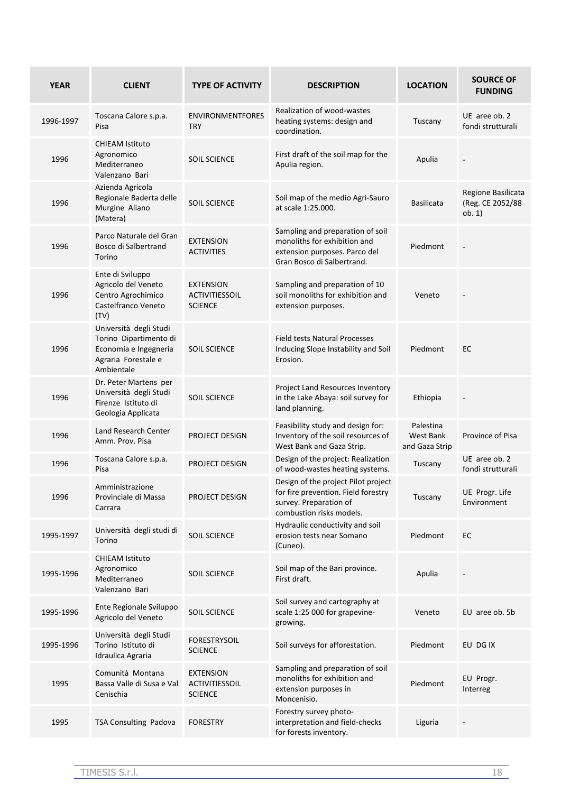| <b>YEAR</b> | <b>CLIENT</b>                                                                                                  | <b>TYPE OF ACTIVITY</b>                                     | <b>DESCRIPTION</b>                                                                                                               | <b>LOCATION</b>                          | <b>SOURCE OF</b><br><b>FUNDING</b>               |
|-------------|----------------------------------------------------------------------------------------------------------------|-------------------------------------------------------------|----------------------------------------------------------------------------------------------------------------------------------|------------------------------------------|--------------------------------------------------|
| 1996-1997   | Toscana Calore s.p.a.<br>Pisa                                                                                  | <b>ENVIRONMENTFORES</b><br><b>TRY</b>                       | Realization of wood-wastes<br>heating systems: design and<br>coordination.                                                       | Tuscany                                  | UE aree ob. 2<br>fondi strutturali               |
| 1996        | <b>CHIEAM Istituto</b><br>Agronomico<br>Mediterraneo<br>Valenzano Bari                                         | <b>SOIL SCIENCE</b>                                         | First draft of the soil map for the<br>Apulia region.                                                                            | Apulia                                   |                                                  |
| 1996        | Azienda Agricola<br>Regionale Baderta delle<br>Murgine Aliano<br>(Matera)                                      | <b>SOIL SCIENCE</b>                                         | Soil map of the medio Agri-Sauro<br>at scale 1:25.000.                                                                           | <b>Basilicata</b>                        | Regione Basilicata<br>(Reg. CE 2052/88<br>ob. 1) |
| 1996        | Parco Naturale del Gran<br>Bosco di Salbertrand<br>Torino                                                      | <b>EXTENSION</b><br><b>ACTIVITIES</b>                       | Sampling and preparation of soil<br>monoliths for exhibition and<br>extension purposes. Parco del<br>Gran Bosco di Salbertrand.  | Piedmont                                 |                                                  |
| 1996        | Ente di Sviluppo<br>Agricolo del Veneto<br>Centro Agrochimico<br>Castelfranco Veneto<br>(TV)                   | <b>EXTENSION</b><br><b>ACTIVITIESSOIL</b><br><b>SCIENCE</b> | Sampling and preparation of 10<br>soil monoliths for exhibition and<br>extension purposes.                                       | Veneto                                   |                                                  |
| 1996        | Università degli Studi<br>Torino Dipartimento di<br>Economia e Ingegneria<br>Agraria Forestale e<br>Ambientale | <b>SOIL SCIENCE</b>                                         | <b>Field tests Natural Processes</b><br>Inducing Slope Instability and Soil<br>Erosion.                                          | Piedmont                                 | EC                                               |
| 1996        | Dr. Peter Martens per<br>Università degli Studi<br>Firenze Istituto di<br>Geologia Applicata                   | <b>SOIL SCIENCE</b>                                         | Project Land Resources Inventory<br>in the Lake Abaya: soil survey for<br>land planning.                                         | Ethiopia                                 |                                                  |
| 1996        | Land Research Center<br>Amm. Prov. Pisa                                                                        | PROJECT DESIGN                                              | Feasibility study and design for:<br>Inventory of the soil resources of<br>West Bank and Gaza Strip.                             | Palestina<br>West Bank<br>and Gaza Strip | Province of Pisa                                 |
| 1996        | Toscana Calore s.p.a.<br>Pisa                                                                                  | PROJECT DESIGN                                              | Design of the project: Realization<br>of wood-wastes heating systems.                                                            | Tuscany                                  | UE aree ob. 2<br>fondi strutturali               |
| 1996        | Amministrazione<br>Provinciale di Massa<br>Carrara                                                             | PROJECT DESIGN                                              | Design of the project Pilot project<br>for fire prevention. Field forestry<br>survey. Preparation of<br>combustion risks models. | Tuscany                                  | UE Progr. Life<br>Environment                    |
| 1995-1997   | Università degli studi di<br>Torino                                                                            | <b>SOIL SCIENCE</b>                                         | Hydraulic conductivity and soil<br>erosion tests near Somano<br>(Cuneo).                                                         | Piedmont                                 | EC.                                              |
| 1995-1996   | <b>CHIEAM Istituto</b><br>Agronomico<br>Mediterraneo<br>Valenzano Bari                                         | <b>SOIL SCIENCE</b>                                         | Soil map of the Bari province.<br>First draft.                                                                                   | Apulia                                   |                                                  |
| 1995-1996   | Ente Regionale Sviluppo<br>Agricolo del Veneto                                                                 | <b>SOIL SCIENCE</b>                                         | Soil survey and cartography at<br>scale 1:25 000 for grapevine-<br>growing.                                                      | Veneto                                   | EU aree ob. 5b                                   |
| 1995-1996   | Università degli Studi<br>Torino Istituto di<br>Idraulica Agraria                                              | <b>FORESTRYSOIL</b><br><b>SCIENCE</b>                       | Soil surveys for afforestation.                                                                                                  | Piedmont                                 | EU DG IX                                         |
| 1995        | Comunità Montana<br>Bassa Valle di Susa e Val<br>Cenischia                                                     | <b>EXTENSION</b><br>ACTIVITIESSOIL<br><b>SCIENCE</b>        | Sampling and preparation of soil<br>monoliths for exhibition and<br>extension purposes in<br>Moncenisio.                         | Piedmont                                 | EU Progr.<br>Interreg                            |
| 1995        | TSA Consulting Padova                                                                                          | <b>FORESTRY</b>                                             | Forestry survey photo-<br>interpretation and field-checks<br>for forests inventory.                                              | Liguria                                  |                                                  |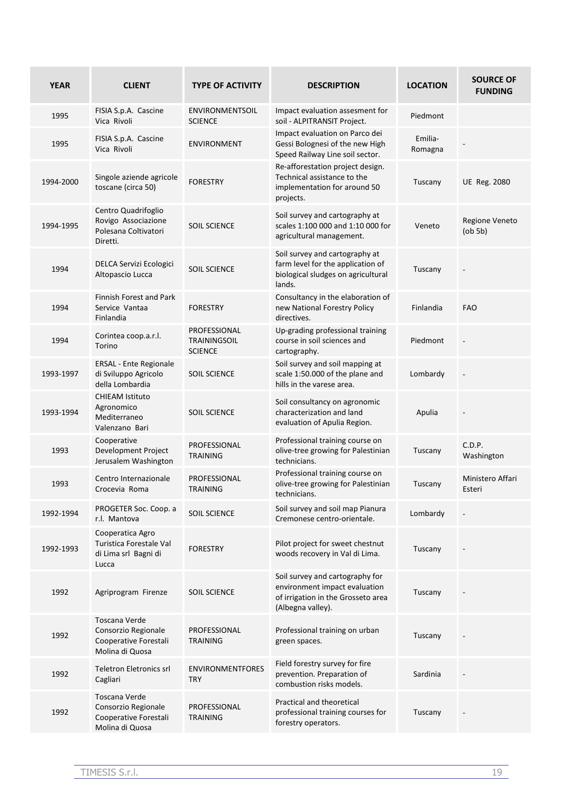| <b>YEAR</b> | <b>CLIENT</b>                                                                           | <b>TYPE OF ACTIVITY</b>                               | <b>DESCRIPTION</b>                                                                                                          | <b>LOCATION</b>    | <b>SOURCE OF</b><br><b>FUNDING</b> |
|-------------|-----------------------------------------------------------------------------------------|-------------------------------------------------------|-----------------------------------------------------------------------------------------------------------------------------|--------------------|------------------------------------|
| 1995        | FISIA S.p.A. Cascine<br>Vica Rivoli                                                     | ENVIRONMENTSOIL<br><b>SCIENCE</b>                     | Impact evaluation assesment for<br>soil - ALPITRANSIT Project.                                                              | Piedmont           |                                    |
| 1995        | FISIA S.p.A. Cascine<br>Vica Rivoli                                                     | <b>ENVIRONMENT</b>                                    | Impact evaluation on Parco dei<br>Gessi Bolognesi of the new High<br>Speed Railway Line soil sector.                        | Emilia-<br>Romagna |                                    |
| 1994-2000   | Singole aziende agricole<br>toscane (circa 50)                                          | <b>FORESTRY</b>                                       | Re-afforestation project design.<br>Technical assistance to the<br>implementation for around 50<br>projects.                | Tuscany            | <b>UE Reg. 2080</b>                |
| 1994-1995   | Centro Quadrifoglio<br>Rovigo Associazione<br>Polesana Coltivatori<br>Diretti.          | <b>SOIL SCIENCE</b>                                   | Soil survey and cartography at<br>scales 1:100 000 and 1:10 000 for<br>agricultural management.                             | Veneto             | Regione Veneto<br>$($ ob 5b $)$    |
| 1994        | DELCA Servizi Ecologici<br>Altopascio Lucca                                             | <b>SOIL SCIENCE</b>                                   | Soil survey and cartography at<br>farm level for the application of<br>biological sludges on agricultural<br>lands.         | Tuscany            |                                    |
| 1994        | Finnish Forest and Park<br>Service Vantaa<br>Finlandia                                  | <b>FORESTRY</b>                                       | Consultancy in the elaboration of<br>new National Forestry Policy<br>directives.                                            | Finlandia          | <b>FAO</b>                         |
| 1994        | Corintea coop.a.r.l.<br>Torino                                                          | PROFESSIONAL<br><b>TRAININGSOIL</b><br><b>SCIENCE</b> | Up-grading professional training<br>course in soil sciences and<br>cartography.                                             | Piedmont           |                                    |
| 1993-1997   | <b>ERSAL - Ente Regionale</b><br>di Sviluppo Agricolo<br>della Lombardia                | <b>SOIL SCIENCE</b>                                   | Soil survey and soil mapping at<br>scale 1:50.000 of the plane and<br>hills in the varese area.                             | Lombardy           |                                    |
| 1993-1994   | <b>CHIEAM Istituto</b><br>Agronomico<br>Mediterraneo<br>Valenzano Bari                  | <b>SOIL SCIENCE</b>                                   | Soil consultancy on agronomic<br>characterization and land<br>evaluation of Apulia Region.                                  | Apulia             |                                    |
| 1993        | Cooperative<br>Development Project<br>Jerusalem Washington                              | PROFESSIONAL<br><b>TRAINING</b>                       | Professional training course on<br>olive-tree growing for Palestinian<br>technicians.                                       | Tuscany            | C.D.P.<br>Washington               |
| 1993        | Centro Internazionale<br>Crocevia Roma                                                  | PROFESSIONAL<br><b>TRAINING</b>                       | Professional training course on<br>olive-tree growing for Palestinian<br>technicians.                                       | Tuscany            | Ministero Affari<br>Esteri         |
| 1992-1994   | PROGETER Soc. Coop. a<br>r.l. Mantova                                                   | <b>SOIL SCIENCE</b>                                   | Soil survey and soil map Pianura<br>Cremonese centro-orientale.                                                             | Lombardy           |                                    |
| 1992-1993   | Cooperatica Agro<br>Turistica Forestale Val<br>di Lima srl Bagni di<br>Lucca            | <b>FORESTRY</b>                                       | Pilot project for sweet chestnut<br>woods recovery in Val di Lima.                                                          | Tuscany            |                                    |
| 1992        | Agriprogram Firenze                                                                     | <b>SOIL SCIENCE</b>                                   | Soil survey and cartography for<br>environment impact evaluation<br>of irrigation in the Grosseto area<br>(Albegna valley). | Tuscany            |                                    |
| 1992        | <b>Toscana Verde</b><br>Consorzio Regionale<br>Cooperative Forestali<br>Molina di Quosa | PROFESSIONAL<br><b>TRAINING</b>                       | Professional training on urban<br>green spaces.                                                                             | Tuscany            |                                    |
| 1992        | Teletron Eletronics srl<br>Cagliari                                                     | <b>ENVIRONMENTFORES</b><br><b>TRY</b>                 | Field forestry survey for fire<br>prevention. Preparation of<br>combustion risks models.                                    | Sardinia           |                                    |
| 1992        | Toscana Verde<br>Consorzio Regionale<br>Cooperative Forestali<br>Molina di Quosa        | PROFESSIONAL<br><b>TRAINING</b>                       | Practical and theoretical<br>professional training courses for<br>forestry operators.                                       | Tuscany            |                                    |
|             |                                                                                         |                                                       |                                                                                                                             |                    |                                    |